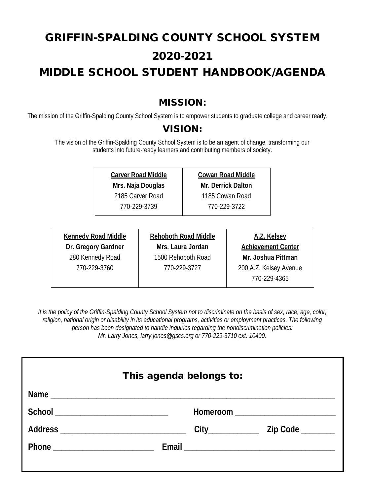# GRIFFIN-SPALDING COUNTY SCHOOL SYSTEM 2020-2021 MIDDLE SCHOOL STUDENT HANDBOOK/AGENDA

## MISSION:

The mission of the Griffin-Spalding County School System is to empower students to graduate college and career ready.

## VISION:

The vision of the Griffin-Spalding County School System is to be an agent of change, transforming our students into future-ready learners and contributing members of society.

> **Carver Road Middle Mrs. Naja Douglas**

2185 Carver Road

770-229-3739

**Cowan Road Middle Mr. Derrick Dalton** 1185 Cowan Road 770-229-3722

| <b>Kennedy Road Middle</b> | Reh |
|----------------------------|-----|
| Dr. Gregory Gardner        | M   |
| 280 Kennedy Road           | 15  |
| 770-229-3760               |     |
|                            |     |

**Rehoboth Road Middle Mrs. Laura Jordan** 1500 Rehoboth Road 770-229-3727

**A.Z. Kelsey Achievement Center Mr. Joshua Pittman** 200 A.Z. Kelsey Avenue 770-229-4365

*It is the policy of the Griffin-Spalding County School System not to discriminate on the basis of sex, race, age, color,*  religion, national origin or disability in its educational programs, activities or employment practices. The following *person has been designated to handle inquiries regarding the nondiscrimination policies: Mr. Larry Jones, larry.jones@gscs.org or 770-229-3710 ext. 10400.*

| This agenda belongs to: |  |  |  |
|-------------------------|--|--|--|
|                         |  |  |  |
|                         |  |  |  |
|                         |  |  |  |
|                         |  |  |  |
|                         |  |  |  |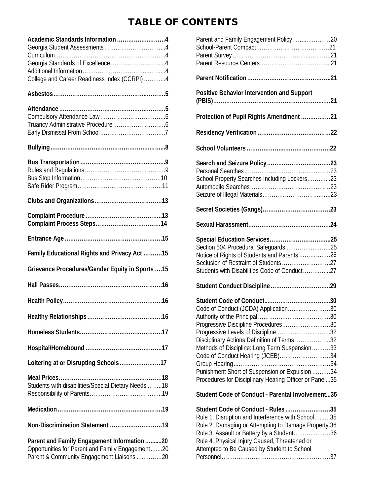# TABLE OF CONTENTS

| Academic Standards Information 4                                                                                                            |  |
|---------------------------------------------------------------------------------------------------------------------------------------------|--|
| College and Career Readiness Index (CCRPI) 4                                                                                                |  |
|                                                                                                                                             |  |
|                                                                                                                                             |  |
|                                                                                                                                             |  |
|                                                                                                                                             |  |
|                                                                                                                                             |  |
|                                                                                                                                             |  |
|                                                                                                                                             |  |
| Family Educational Rights and Privacy Act 15                                                                                                |  |
| Grievance Procedures/Gender Equity in Sports  15                                                                                            |  |
|                                                                                                                                             |  |
|                                                                                                                                             |  |
|                                                                                                                                             |  |
|                                                                                                                                             |  |
|                                                                                                                                             |  |
| Loitering at or Disrupting Schools17                                                                                                        |  |
| Students with disabilities/Special Dietary Needs 18                                                                                         |  |
|                                                                                                                                             |  |
| Non-Discrimination Statement 19                                                                                                             |  |
| Parent and Family Engagement Information 20<br>Opportunities for Parent and Family Engagement20<br>Parent & Community Engagement Liaisons20 |  |

| Parent and Family Engagement Policy20                                                                                                                                                                                                                                                                                                                            |
|------------------------------------------------------------------------------------------------------------------------------------------------------------------------------------------------------------------------------------------------------------------------------------------------------------------------------------------------------------------|
|                                                                                                                                                                                                                                                                                                                                                                  |
| Positive Behavior Intervention and Support                                                                                                                                                                                                                                                                                                                       |
| Protection of Pupil Rights Amendment21                                                                                                                                                                                                                                                                                                                           |
|                                                                                                                                                                                                                                                                                                                                                                  |
|                                                                                                                                                                                                                                                                                                                                                                  |
| School Property Searches Including Lockers23                                                                                                                                                                                                                                                                                                                     |
|                                                                                                                                                                                                                                                                                                                                                                  |
|                                                                                                                                                                                                                                                                                                                                                                  |
| Section 504 Procedural Safeguards 25<br>Notice of Rights of Students and Parents26<br>Seclusion of Restraint of Students 27<br>Students with Disabilities Code of Conduct27                                                                                                                                                                                      |
|                                                                                                                                                                                                                                                                                                                                                                  |
| Code of Conduct (JCDA) Application30<br>Progressive Discipline Procedures30<br>Progressive Levels of Discipline32<br>Disciplinary Actions Definition of Terms32<br>Methods of Discipline: Long Term Suspension33<br>Code of Conduct Hearing (JCEB)34<br>Punishment Short of Suspension or Expulsion 34<br>Procedures for Disciplinary Hearing Officer or Panel35 |
| Student Code of Conduct - Parental Involvement35                                                                                                                                                                                                                                                                                                                 |
| Student Code of Conduct - Rules35<br>Rule 1. Disruption and Interference with School35<br>Rule 2. Damaging or Attempting to Damage Property.36<br>Rule 3. Assault or Battery by a Student36<br>Rule 4. Physical Injury Caused, Threatened or<br>Attempted to Be Caused by Student to School<br>Personnel<br>37                                                   |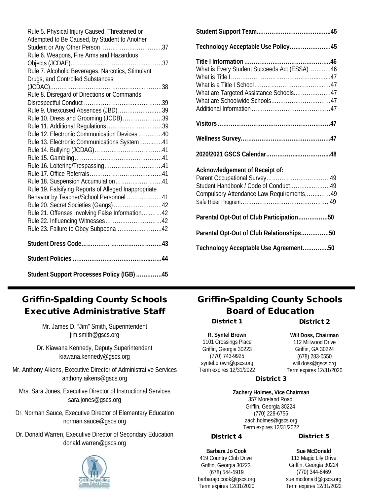| Rule 5. Physical Injury Caused, Threatened or                                                   |
|-------------------------------------------------------------------------------------------------|
| Attempted to Be Caused, by Student to Another                                                   |
| Rule 6. Weapons, Fire Arms and Hazardous                                                        |
|                                                                                                 |
| Rule 7. Alcoholic Beverages, Narcotics, Stimulant                                               |
| Drugs, and Controlled Substances                                                                |
|                                                                                                 |
| Rule 8. Disregard of Directions or Commands                                                     |
| Rule 9. Unexcused Absences (JBD)39                                                              |
| Rule 10. Dress and Grooming (JCDB)39                                                            |
| Rule 11. Additional Regulations39                                                               |
| Rule 12. Electronic Communication Devices40                                                     |
| Rule 13. Electronic Communications System41                                                     |
|                                                                                                 |
|                                                                                                 |
|                                                                                                 |
|                                                                                                 |
| Rule 18. Suspension Accumulation41                                                              |
| Rule 19. Falsifying Reports of Alleged Inappropriate<br>Behavior by Teacher/School Personnel 41 |
| Rule 20. Secret Societies (Gangs) 42                                                            |
| Rule 21. Offenses Involving False Information42                                                 |
|                                                                                                 |
| Rule 23. Failure to Obey Subpoena 42                                                            |
|                                                                                                 |
|                                                                                                 |
| Student Support Processes Policy (IGB) 45                                                       |

| Technology Acceptable Use Policy45                                                                                 |  |
|--------------------------------------------------------------------------------------------------------------------|--|
| What is Every Student Succeeds Act (ESSA)46                                                                        |  |
| What are Targeted Assistance Schools47                                                                             |  |
|                                                                                                                    |  |
|                                                                                                                    |  |
|                                                                                                                    |  |
| Acknowledgement of Receipt of:<br>Student Handbook / Code of Conduct49<br>Compulsory Attendance Law Requirements49 |  |
| Parental Opt-Out of Club Participation50                                                                           |  |
| Parental Opt-Out of Club Relationships50                                                                           |  |
| Technology Acceptable Use Agreement50                                                                              |  |
|                                                                                                                    |  |

## Griffin-Spalding County Schools Executive Administrative Staff

Mr. James D. "Jim" Smith, Superintendent jim.smith@gscs.org

- Dr. Kiawana Kennedy, Deputy Superintendent kiawana.kennedy@gscs.org
- Mr. Anthony Aikens, Executive Director of Administrative Services anthony.aikens@gscs.org
	- Mrs. Sara Jones, Executive Director of Instructional Services sara.jones@gscs.org
- Dr. Norman Sauce, Executive Director of Elementary Education norman.sauce@gscs.org
- Dr. Donald Warren, Executive Director of Secondary Education donald.warren@gscs.org



# Griffin-Spalding County Schools Board of Education

District 1

District 2

**R. Syntel Brown** 1101 Crossings Place Griffin, Georgia 30223 (770) 743-9925 syntel.brown@gscs.org Term expires 12/31/2022

**Will Doss, Chairman** 112 Millwood Drive Griffin, GA 30224 (678) 283-0550 will.doss@gscs.org Term expires 12/31/2020

## District 3

**Zachery Holmes, Vice Chairman** 357 Moreland Road Griffin, Georgia 30224 (770) 228-6756 zach.holmes@gscs.org Term expires 12/31/2022

#### District 4

**Barbara Jo Cook** 419 Country Club Drive Griffin, Georgia 30223 (678) 544-5919 barbarajo.cook@gscs.org Term expires 12/31/2020

#### District 5

**Sue McDonald** 113 Magic Lily Drive Griffin, Georgia 30224 (770) 344-8469 sue.mcdonald@gscs.org Term expires 12/31/2022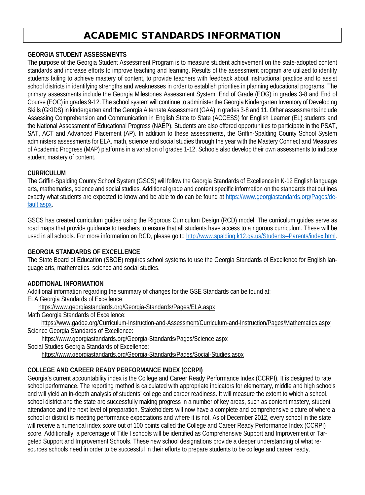## ACADEMIC STANDARDS INFORMATION

#### **GEORGIA STUDENT ASSESSMENTS**

The purpose of the Georgia Student Assessment Program is to measure student achievement on the state-adopted content standards and increase efforts to improve teaching and learning. Results of the assessment program are utilized to identify students failing to achieve mastery of content, to provide teachers with feedback about instructional practice and to assist school districts in identifying strengths and weaknesses in order to establish priorities in planning educational programs. The primary assessments include the Georgia Milestones Assessment System: End of Grade (EOG) in grades 3-8 and End of Course (EOC) in grades 9-12. The school system will continue to administer the Georgia Kindergarten Inventory of Developing Skills (GKIDS) in kindergarten and the Georgia Alternate Assessment (GAA) in grades 3-8 and 11. Other assessments include Assessing Comprehension and Communication in English State to State (ACCESS) for English Learner (EL) students and the National Assessment of Educational Progress (NAEP). Students are also offered opportunities to participate in the PSAT, SAT, ACT and Advanced Placement (AP). In addition to these assessments, the Griffin-Spalding County School System administers assessments for ELA, math, science and social studies through the year with the Mastery Connect and Measures of Academic Progress (MAP) platforms in a variation of grades 1-12. Schools also develop their own assessments to indicate student mastery of content.

#### **CURRICULUM**

The Griffin-Spalding County School System (GSCS) will follow the Georgia Standards of Excellence in K-12 English language arts, mathematics, science and social studies. Additional grade and content specific information on the standards that outlines exactly what students are expected to know and be able to do can be found at https://www.georgiastandards.org/Pages/default.aspx.

GSCS has created curriculum guides using the Rigorous Curriculum Design (RCD) model. The curriculum guides serve as road maps that provide guidance to teachers to ensure that all students have access to a rigorous curriculum. These will be used in all schools. For more information on RCD, please go to http://www.spalding.k12.ga.us/Students--Parents/index.html.

#### **GEORGIA STANDARDS OF EXCELLENCE**

The State Board of Education (SBOE) requires school systems to use the Georgia Standards of Excellence for English language arts, mathematics, science and social studies.

#### **ADDITIONAL INFORMATION**

Additional information regarding the summary of changes for the GSE Standards can be found at: ELA Georgia Standards of Excellence:

https://www.georgiastandards.org/Georgia-Standards/Pages/ELA.aspx

Math Georgia Standards of Excellence:

https://www.gadoe.org/Curriculum-Instruction-and-Assessment/Curriculum-and-Instruction/Pages/Mathematics.aspx Science Georgia Standards of Excellence:

https://www.georgiastandards.org/Georgia-Standards/Pages/Science.aspx

Social Studies Georgia Standards of Excellence:

https://www.georgiastandards.org/Georgia-Standards/Pages/Social-Studies.aspx

#### **COLLEGE AND CAREER READY PERFORMANCE INDEX (CCRPI)**

Georgia's current accountability index is the College and Career Ready Performance Index (CCRPI). It is designed to rate school performance. The reporting method is calculated with appropriate indicators for elementary, middle and high schools and will yield an in-depth analysis of students' college and career readiness. It will measure the extent to which a school, school district and the state are successfully making progress in a number of key areas, such as content mastery, student attendance and the next level of preparation. Stakeholders will now have a complete and comprehensive picture of where a school or district is meeting performance expectations and where it is not. As of December 2012, every school in the state will receive a numerical index score out of 100 points called the College and Career Ready Performance Index (CCRPI) score. Additionally, a percentage of Title I schools will be identified as Comprehensive Support and Improvement or Targeted Support and Improvement Schools. These new school designations provide a deeper understanding of what resources schools need in order to be successful in their efforts to prepare students to be college and career ready.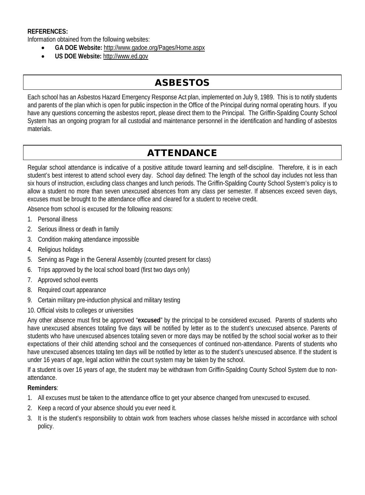#### **REFERENCES:**

Information obtained from the following websites:

- **GA DOE Website:** http://www.gadoe.org/Pages/Home.aspx
- **US DOE Website:** http://www.ed.gov

# ASBESTOS

Each school has an Asbestos Hazard Emergency Response Act plan, implemented on July 9, 1989. This is to notify students and parents of the plan which is open for public inspection in the Office of the Principal during normal operating hours. If you have any questions concerning the asbestos report, please direct them to the Principal. The Griffin-Spalding County School System has an ongoing program for all custodial and maintenance personnel in the identification and handling of asbestos materials.

# ATTENDANCE

Regular school attendance is indicative of a positive attitude toward learning and self-discipline. Therefore, it is in each student's best interest to attend school every day. School day defined: The length of the school day includes not less than six hours of instruction, excluding class changes and lunch periods. The Griffin-Spalding County School System's policy is to allow a student no more than seven unexcused absences from any class per semester. If absences exceed seven days, excuses must be brought to the attendance office and cleared for a student to receive credit.

Absence from school is excused for the following reasons:

- 1. Personal illness
- 2. Serious illness or death in family
- 3. Condition making attendance impossible
- 4. Religious holidays
- 5. Serving as Page in the General Assembly (counted present for class)
- 6. Trips approved by the local school board (first two days only)
- 7. Approved school events
- 8. Required court appearance
- 9. Certain military pre-induction physical and military testing
- 10. Official visits to colleges or universities

Any other absence must first be approved "**excused**" by the principal to be considered excused. Parents of students who have unexcused absences totaling five days will be notified by letter as to the student's unexcused absence. Parents of students who have unexcused absences totaling seven or more days may be notified by the school social worker as to their expectations of their child attending school and the consequences of continued non-attendance. Parents of students who have unexcused absences totaling ten days will be notified by letter as to the student's unexcused absence. If the student is under 16 years of age, legal action within the court system may be taken by the school.

If a student is over 16 years of age, the student may be withdrawn from Griffin-Spalding County School System due to nonattendance.

#### **Reminders**:

- 1. All excuses must be taken to the attendance office to get your absence changed from unexcused to excused.
- 2. Keep a record of your absence should you ever need it.
- 3. It is the student's responsibility to obtain work from teachers whose classes he/she missed in accordance with school policy.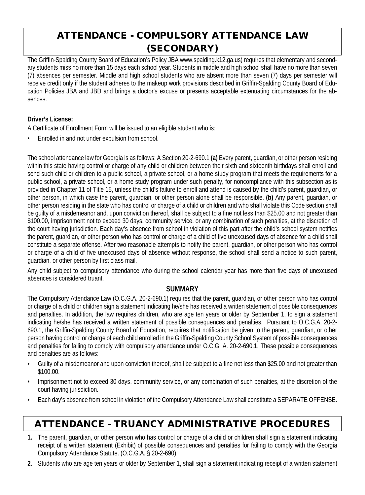# ATTENDANCE - COMPULSORY ATTENDANCE LAW (SECONDARY)

The Griffin-Spalding County Board of Education's Policy JBA www.spalding.k12.ga.us) requires that elementary and secondary students miss no more than 15 days each school year. Students in middle and high school shall have no more than seven (7) absences per semester. Middle and high school students who are absent more than seven (7) days per semester will receive credit only if the student adheres to the makeup work provisions described in Griffin-Spalding County Board of Education Policies JBA and JBD and brings a doctor's excuse or presents acceptable extenuating circumstances for the absences.

#### **Driver's License:**

A Certificate of Enrollment Form will be issued to an eligible student who is:

• Enrolled in and not under expulsion from school.

The school attendance law for Georgia is as follows: A Section 20-2-690.1 **(a)** Every parent, guardian, or other person residing within this state having control or charge of any child or children between their sixth and sixteenth birthdays shall enroll and send such child or children to a public school, a private school, or a home study program that meets the requirements for a public school, a private school, or a home study program under such penalty, for noncompliance with this subsection as is provided in Chapter 11 of Title 15, unless the child's failure to enroll and attend is caused by the child's parent, guardian, or other person, in which case the parent, guardian, or other person alone shall be responsible. **(b)** Any parent, guardian, or other person residing in the state who has control or charge of a child or children and who shall violate this Code section shall be guilty of a misdemeanor and, upon conviction thereof, shall be subject to a fine not less than \$25.00 and not greater than \$100.00, imprisonment not to exceed 30 days, community service, or any combination of such penalties, at the discretion of the court having jurisdiction. Each day's absence from school in violation of this part after the child's school system notifies the parent, guardian, or other person who has control or charge of a child of five unexcused days of absence for a child shall constitute a separate offense. After two reasonable attempts to notify the parent, guardian, or other person who has control or charge of a child of five unexcused days of absence without response, the school shall send a notice to such parent, guardian, or other person by first class mail.

Any child subject to compulsory attendance who during the school calendar year has more than five days of unexcused absences is considered truant.

## **SUMMARY**

The Compulsory Attendance Law (O.C.G.A. 20-2-690.1) requires that the parent, guardian, or other person who has control or charge of a child or children sign a statement indicating he/she has received a written statement of possible consequences and penalties. In addition, the law requires children, who are age ten years or older by September 1, to sign a statement indicating he/she has received a written statement of possible consequences and penalties. Pursuant to O.C.G.A. 20-2- 690.1, the Griffin-Spalding County Board of Education, requires that notification be given to the parent, guardian, or other person having control or charge of each child enrolled in the Griffin-Spalding County School System of possible consequences and penalties for failing to comply with compulsory attendance under O.C.G. A. 20-2-690.1. These possible consequences and penalties are as follows:

- Guilty of a misdemeanor and upon conviction thereof, shall be subject to a fine not less than \$25.00 and not greater than \$100.00.
- Imprisonment not to exceed 30 days, community service, or any combination of such penalties, at the discretion of the court having jurisdiction.
- Each day's absence from school in violation of the Compulsory Attendance Law shall constitute a SEPARATE OFFENSE.

# ATTENDANCE - TRUANCY ADMINISTRATIVE PROCEDURES

- **1.** The parent, guardian, or other person who has control or charge of a child or children shall sign a statement indicating receipt of a written statement (Exhibit) of possible consequences and penalties for failing to comply with the Georgia Compulsory Attendance Statute. (O.C.G.A. § 20-2-690)
- **2**. Students who are age ten years or older by September 1, shall sign a statement indicating receipt of a written statement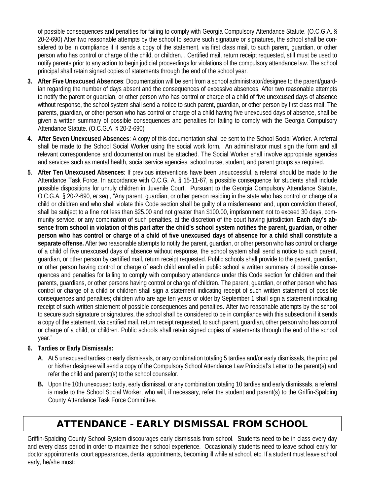of possible consequences and penalties for failing to comply with Georgia Compulsory Attendance Statute. (O.C.G.A. § 20-2-690) After two reasonable attempts by the school to secure such signature or signatures, the school shall be considered to be in compliance if it sends a copy of the statement, via first class mail, to such parent, guardian, or other person who has control or charge of the child, or children. . Certified mail, return receipt requested, still must be used to notify parents prior to any action to begin judicial proceedings for violations of the compulsory attendance law. The school principal shall retain signed copies of statements through the end of the school year.

- **3. After Five Unexcused Absences**: Documentation will be sent from a school administrator/designee to the parent/guardian regarding the number of days absent and the consequences of excessive absences. After two reasonable attempts to notify the parent or guardian, or other person who has control or charge of a child of five unexcused days of absence without response, the school system shall send a notice to such parent, guardian, or other person by first class mail. The parents, guardian, or other person who has control or charge of a child having five unexcused days of absence, shall be given a written summary of possible consequences and penalties for failing to comply with the Georgia Compulsory Attendance Statute. (O.C.G.A. § 20-2-690)
- **4. After Seven Unexcused Absences**: A copy of this documentation shall be sent to the School Social Worker. A referral shall be made to the School Social Worker using the social work form. An administrator must sign the form and all relevant correspondence and documentation must be attached. The Social Worker shall involve appropriate agencies and services such as mental health, social service agencies, school nurse, student, and parent groups as required.
- **5**. **After Ten Unexcused Absences**: If previous interventions have been unsuccessful, a referral should be made to the Attendance Task Force. In accordance with O.C.G. A. § 15-11-67, a possible consequence for students shall include possible dispositions for unruly children in Juvenile Court. Pursuant to the Georgia Compulsory Attendance Statute, O.C.G.A. § 20-2-690, *et seq*., "Any parent, guardian, or other person residing in the state who has control or charge of a child or children and who shall violate this Code section shall be guilty of a misdemeanor and, upon conviction thereof, shall be subject to a fine not less than \$25.00 and not greater than \$100.00, imprisonment not to exceed 30 days, community service, or any combination of such penalties, at the discretion of the court having jurisdiction. **Each day's absence from school in violation of this part after the child's school system notifies the parent, guardian, or other person who has control or charge of a child of five unexcused days of absence for a child shall constitute a separate offense.** After two reasonable attempts to notify the parent, guardian, or other person who has control or charge of a child of five unexcused days of absence without response, the school system shall send a notice to such parent, guardian, or other person by certified mail, return receipt requested. Public schools shall provide to the parent, guardian, or other person having control or charge of each child enrolled in public school a written summary of possible consequences and penalties for failing to comply with compulsory attendance under this Code section for children and their parents, guardians, or other persons having control or charge of children. The parent, guardian, or other person who has control or charge of a child or children shall sign a statement indicating receipt of such written statement of possible consequences and penalties; children who are age ten years or older by September 1 shall sign a statement indicating receipt of such written statement of possible consequences and penalties. After two reasonable attempts by the school to secure such signature or signatures, the school shall be considered to be in compliance with this subsection if it sends a copy of the statement, via certified mail, return receipt requested, to such parent, guardian, other person who has control or charge of a child, or children. Public schools shall retain signed copies of statements through the end of the school year."

#### **6. Tardies or Early Dismissals:**

- **A**. At 5 unexcused tardies or early dismissals, or any combination totaling 5 tardies and/or early dismissals, the principal or his/her designee will send a copy of the Compulsory School Attendance Law Principal's Letter to the parent(s) and refer the child and parent(s) to the school counselor.
- **B.** Upon the 10th unexcused tardy, early dismissal, or any combination totaling 10 tardies and early dismissals, a referral is made to the School Social Worker, who will, if necessary, refer the student and parent(s) to the Griffin-Spalding County Attendance Task Force Committee.

# ATTENDANCE - EARLY DISMISSAL FROM SCHOOL

Griffin-Spalding County School System discourages early dismissals from school. Students need to be in class every day and every class period in order to maximize their school experience. Occasionally students need to leave school early for doctor appointments, court appearances, dental appointments, becoming ill while at school, etc. If a student must leave school early, he/she must: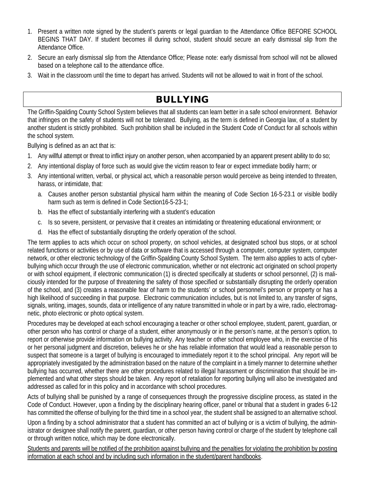- 1. Present a written note signed by the student's parents or legal guardian to the Attendance Office BEFORE SCHOOL BEGINS THAT DAY. If student becomes ill during school, student should secure an early dismissal slip from the Attendance Office.
- 2. Secure an early dismissal slip from the Attendance Office; Please note: early dismissal from school will not be allowed based on a telephone call to the attendance office.
- 3. Wait in the classroom until the time to depart has arrived. Students will not be allowed to wait in front of the school.

# BULLYING

The Griffin-Spalding County School System believes that all students can learn better in a safe school environment. Behavior that infringes on the safety of students will not be tolerated. Bullying, as the term is defined in Georgia law, of a student by another student is strictly prohibited. Such prohibition shall be included in the Student Code of Conduct for all schools within the school system.

Bullying is defined as an act that is:

- 1. Any willful attempt or threat to inflict injury on another person, when accompanied by an apparent present ability to do so;
- 2. Any intentional display of force such as would give the victim reason to fear or expect immediate bodily harm; or
- 3. Any intentional written, verbal, or physical act, which a reasonable person would perceive as being intended to threaten, harass, or intimidate, that:
	- a. Causes another person substantial physical harm within the meaning of Code Section 16-5-23.1 or visible bodily harm such as term is defined in Code Section16-5-23-1;
	- b. Has the effect of substantially interfering with a student's education
	- c. Is so severe, persistent, or pervasive that it creates an intimidating or threatening educational environment; or
	- d. Has the effect of substantially disrupting the orderly operation of the school.

The term applies to acts which occur on school property, on school vehicles, at designated school bus stops, or at school related functions or activities or by use of data or software that is accessed through a computer, computer system, computer network, or other electronic technology of the Griffin-Spalding County School System. The term also applies to acts of cyberbullying which occur through the use of electronic communication, whether or not electronic act originated on school property or with school equipment, if electronic communication (1) is directed specifically at students or school personnel, (2) is maliciously intended for the purpose of threatening the safety of those specified or substantially disrupting the orderly operation of the school, and (3) creates a reasonable fear of harm to the students' or school personnel's person or property or has a high likelihood of succeeding in that purpose. Electronic communication includes, but is not limited to, any transfer of signs, signals, writing, images, sounds, data or intelligence of any nature transmitted in whole or in part by a wire, radio, electromagnetic, photo electronic or photo optical system.

Procedures may be developed at each school encouraging a teacher or other school employee, student, parent, guardian, or other person who has control or charge of a student, either anonymously or in the person's name, at the person's option, to report or otherwise provide information on bullying activity. Any teacher or other school employee who, in the exercise of his or her personal judgment and discretion, believes he or she has reliable information that would lead a reasonable person to suspect that someone is a target of bullying is encouraged to immediately report it to the school principal. Any report will be appropriately investigated by the administration based on the nature of the complaint in a timely manner to determine whether bullying has occurred, whether there are other procedures related to illegal harassment or discrimination that should be implemented and what other steps should be taken. Any report of retaliation for reporting bullying will also be investigated and addressed as called for in this policy and in accordance with school procedures.

Acts of bullying shall be punished by a range of consequences through the progressive discipline process, as stated in the Code of Conduct. However, upon a finding by the disciplinary hearing officer, panel or tribunal that a student in grades 6-12 has committed the offense of bullying for the third time in a school year, the student shall be assigned to an alternative school.

Upon a finding by a school administrator that a student has committed an act of bullying or is a victim of bullying, the administrator or designee shall notify the parent, guardian, or other person having control or charge of the student by telephone call or through written notice, which may be done electronically.

Students and parents will be notified of the prohibition against bullying and the penalties for violating the prohibition by posting information at each school and by including such information in the student/parent handbooks.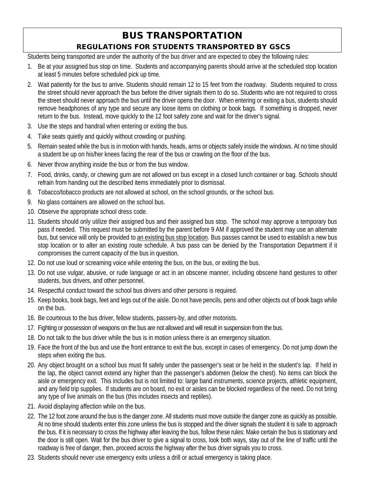## BUS TRANSPORTATION REGULATIONS FOR STUDENTS TRANSPORTED BY GSCS

Students being transported are under the authority of the bus driver and are expected to obey the following rules:

- 1. Be at your assigned bus stop on time. Students and accompanying parents should arrive at the scheduled stop location at least 5 minutes before scheduled pick up time.
- 2. Wait patiently for the bus to arrive. Students should remain 12 to 15 feet from the roadway. Students required to cross the street should never approach the bus before the driver signals them to do so. Students who are not required to cross the street should never approach the bus until the driver opens the door. When entering or exiting a bus, students should remove headphones of any type and secure any loose items on clothing or book bags. If something is dropped, never return to the bus. Instead, move quickly to the 12 foot safety zone and wait for the driver's signal.
- 3. Use the steps and handrail when entering or exiting the bus.
- 4. Take seats quietly and quickly without crowding or pushing.
- 5. Remain seated while the bus is in motion with hands, heads, arms or objects safely inside the windows. At no time should a student be up on his/her knees facing the rear of the bus or crawling on the floor of the bus.
- 6. Never throw anything inside the bus or from the bus window.
- 7. Food, drinks, candy, or chewing gum are not allowed on bus except in a closed lunch container or bag. Schools should refrain from handing out the described items immediately prior to dismissal.
- 8. Tobacco/tobacco products are not allowed at school, on the school grounds, or the school bus.
- 9. No glass containers are allowed on the school bus.
- 10. Observe the appropriate school dress code.
- 11. Students should only utilize their assigned bus and their assigned bus stop. The school may approve a temporary bus pass if needed. This request must be submitted by the parent before 9 AM if approved the student may use an alternate bus, but service will only be provided to an existing bus stop location. Bus passes cannot be used to establish a new bus stop location or to alter an existing route schedule. A bus pass can be denied by the Transportation Department if it compromises the current capacity of the bus in question.
- 12. Do not use loud or screaming voice while entering the bus, on the bus, or exiting the bus.
- 13. Do not use vulgar, abusive, or rude language or act in an obscene manner, including obscene hand gestures to other students, bus drivers, and other personnel.
- 14. Respectful conduct toward the school bus drivers and other persons is required.
- 15. Keep books, book bags, feet and legs out of the aisle. Do not have pencils, pens and other objects out of book bags while on the bus.
- 16. Be courteous to the bus driver, fellow students, passers-by, and other motorists.
- 17. Fighting or possession of weapons on the bus are not allowed and will result in suspension from the bus.
- 18. Do not talk to the bus driver while the bus is in motion unless there is an emergency situation.
- 19. Face the front of the bus and use the front entrance to exit the bus, except in cases of emergency. Do not jump down the steps when exiting the bus.
- 20. Any object brought on a school bus must fit safely under the passenger's seat or be held in the student's lap. If held in the lap, the object cannot extend any higher than the passenger's abdomen (below the chest). No items can block the aisle or emergency exit. This includes but is not limited to: large band instruments, science projects, athletic equipment, and any field trip supplies. If students are on board, no exit or aisles can be blocked regardless of the need. Do not bring any type of live animals on the bus (this includes insects and reptiles).
- 21. Avoid displaying affection while on the bus.
- 22. The 12 foot zone around the bus is the danger zone. All students must move outside the danger zone as quickly as possible. At no time should students enter this zone unless the bus is stopped and the driver signals the student it is safe to approach the bus. If it is necessary to cross the highway after leaving the bus, follow these rules: Make certain the bus is stationary and the door is still open. Wait for the bus driver to give a signal to cross, look both ways, stay out of the line of traffic until the roadway is free of danger, then, proceed across the highway after the bus driver signals you to cross.
- 23. Students should never use emergency exits unless a drill or actual emergency is taking place.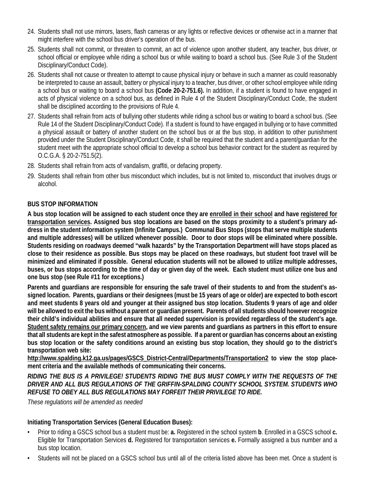- 24. Students shall not use mirrors, lasers, flash cameras or any lights or reflective devices or otherwise act in a manner that might interfere with the school bus driver's operation of the bus.
- 25. Students shall not commit, or threaten to commit, an act of violence upon another student, any teacher, bus driver, or school official or employee while riding a school bus or while waiting to board a school bus. (See Rule 3 of the Student Disciplinary/Conduct Code).
- 26. Students shall not cause or threaten to attempt to cause physical injury or behave in such a manner as could reasonably be interpreted to cause an assault, battery or physical injury to a teacher, bus driver, or other school employee while riding a school bus or waiting to board a school bus **(Code 20-2-751.6).** In addition, if a student is found to have engaged in acts of physical violence on a school bus, as defined in Rule 4 of the Student Disciplinary/Conduct Code, the student shall be disciplined according to the provisions of Rule 4.
- 27. Students shall refrain from acts of bullying other students while riding a school bus or waiting to board a school bus. (See Rule 14 of the Student Disciplinary/Conduct Code). If a student is found to have engaged in bullying or to have committed a physical assault or battery of another student on the school bus or at the bus stop, in addition to other punishment provided under the Student Disciplinary/Conduct Code, it shall be required that the student and a parent/guardian for the student meet with the appropriate school official to develop a school bus behavior contract for the student as required by O.C.G.A. § 20-2-751.5(2).
- 28. Students shall refrain from acts of vandalism, graffiti, or defacing property.
- 29. Students shall refrain from other bus misconduct which includes, but is not limited to, misconduct that involves drugs or alcohol.

#### **BUS STOP INFORMATION**

**A bus stop location will be assigned to each student once they are enrolled in their school and have registered for transportation services. Assigned bus stop locations are based on the stops proximity to a student's primary address in the student information system (Infinite Campus.) Communal Bus Stops (stops that serve multiple students and multiple addresses) will be utilized whenever possible. Door to door stops will be eliminated where possible. Students residing on roadways deemed "walk hazards" by the Transportation Department will have stops placed as close to their residence as possible. Bus stops may be placed on these roadways, but student foot travel will be minimized and eliminated if possible. General education students will not be allowed to utilize multiple addresses, buses, or bus stops according to the time of day or given day of the week. Each student must utilize one bus and one bus stop (see Rule #11 for exceptions.)**

**Parents and guardians are responsible for ensuring the safe travel of their students to and from the student's assigned location. Parents, guardians or their designees (must be 15 years of age or older) are expected to both escort and meet students 8 years old and younger at their assigned bus stop location. Students 9 years of age and older will be allowed to exit the bus without a parent or guardian present. Parents of all students should however recognize their child's individual abilities and ensure that all needed supervision is provided regardless of the student's age. Student safety remains our primary concern, and we view parents and guardians as partners in this effort to ensure that all students are kept in the safest atmosphere as possible. If a parent or guardian has concerns about an existing bus stop location or the safety conditions around an existing bus stop location, they should go to the district's transportation web site:** 

**http://www.spalding.k12.ga.us/pages/GSCS\_District-Central/Departments/Transportation2 to view the stop placement criteria and the available methods of communicating their concerns.**

*RIDING THE BUS IS A PRIVILEGE! STUDENTS RIDING THE BUS MUST COMPLY WITH THE REQUESTS OF THE DRIVER AND ALL BUS REGULATIONS OF THE GRIFFIN-SPALDING COUNTY SCHOOL SYSTEM. STUDENTS WHO REFUSE TO OBEY ALL BUS REGULATIONS MAY FORFEIT THEIR PRIVILEGE TO RIDE.*

*These regulations will be amended as needed*

#### **Initiating Transportation Services (General Education Buses):**

- Prior to riding a GSCS school bus a student must be: **a.** Registered in the school system **b**. Enrolled in a GSCS school **c.**  Eligible for Transportation Services **d.** Registered for transportation services **e.** Formally assigned a bus number and a bus stop location.
- Students will not be placed on a GSCS school bus until all of the criteria listed above has been met. Once a student is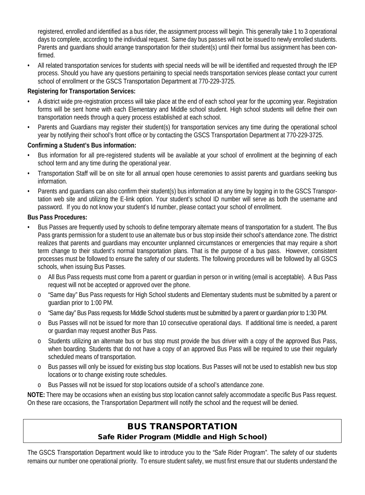registered, enrolled and identified as a bus rider, the assignment process will begin. This generally take 1 to 3 operational days to complete, according to the individual request. Same day bus passes will not be issued to newly enrolled students. Parents and guardians should arrange transportation for their student(s) until their formal bus assignment has been confirmed.

• All related transportation services for students with special needs will be will be identified and requested through the IEP process. Should you have any questions pertaining to special needs transportation services please contact your current school of enrollment or the GSCS Transportation Department at 770-229-3725.

#### **Registering for Transportation Services:**

- A district wide pre-registration process will take place at the end of each school year for the upcoming year. Registration forms will be sent home with each Elementary and Middle school student. High school students will define their own transportation needs through a query process established at each school.
- Parents and Guardians may register their student(s) for transportation services any time during the operational school year by notifying their school's front office or by contacting the GSCS Transportation Department at 770-229-3725.

#### **Confirming a Student's Bus information:**

- Bus information for all pre-registered students will be available at your school of enrollment at the beginning of each school term and any time during the operational year.
- Transportation Staff will be on site for all annual open house ceremonies to assist parents and guardians seeking bus information.
- Parents and guardians can also confirm their student(s) bus information at any time by logging in to the GSCS Transportation web site and utilizing the E-link option. Your student's school ID number will serve as both the username and password. If you do not know your student's Id number, please contact your school of enrollment.

#### **Bus Pass Procedures:**

- Bus Passes are frequently used by schools to define temporary alternate means of transportation for a student. The Bus Pass grants permission for a student to use an alternate bus or bus stop inside their school's attendance zone. The district realizes that parents and guardians may encounter unplanned circumstances or emergencies that may require a short term change to their student's normal transportation plans. That is the purpose of a bus pass. However, consistent processes must be followed to ensure the safety of our students. The following procedures will be followed by all GSCS schools, when issuing Bus Passes.
	- o All Bus Pass requests must come from a parent or guardian in person or in writing (email is acceptable). A Bus Pass request will not be accepted or approved over the phone.
	- o "Same day" Bus Pass requests for High School students and Elementary students must be submitted by a parent or guardian prior to 1:00 PM.
	- o "Same day" Bus Pass requests for Middle School students must be submitted by a parent or guardian prior to 1:30 PM.
	- o Bus Passes will not be issued for more than 10 consecutive operational days. If additional time is needed, a parent or guardian may request another Bus Pass.
	- o Students utilizing an alternate bus or bus stop must provide the bus driver with a copy of the approved Bus Pass, when boarding. Students that do not have a copy of an approved Bus Pass will be required to use their regularly scheduled means of transportation.
	- o Bus passes will only be issued for existing bus stop locations. Bus Passes will not be used to establish new bus stop locations or to change existing route schedules.
	- o Bus Passes will not be issued for stop locations outside of a school's attendance zone.

**NOTE:** There may be occasions when an existing bus stop location cannot safely accommodate a specific Bus Pass request. On these rare occasions, the Transportation Department will notify the school and the request will be denied.

## BUS TRANSPORTATION Safe Rider Program (Middle and High School)

The GSCS Transportation Department would like to introduce you to the "Safe Rider Program". The safety of our students remains our number one operational priority. To ensure student safety, we must first ensure that our students understand the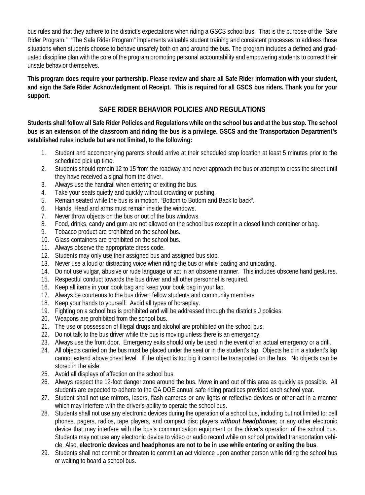bus rules and that they adhere to the district's expectations when riding a GSCS school bus. That is the purpose of the "Safe Rider Program." "The Safe Rider Program" implements valuable student training and consistent processes to address those situations when students choose to behave unsafely both on and around the bus. The program includes a defined and graduated discipline plan with the core of the program promoting personal accountability and empowering students to correct their unsafe behavior themselves.

**This program does require your partnership. Please review and share all Safe Rider information with your student, and sign the Safe Rider Acknowledgment of Receipt. This is required for all GSCS bus riders. Thank you for your support.**

## **SAFE RIDER BEHAVIOR POLICIES AND REGULATIONS**

**Students shall follow all Safe Rider Policies and Regulations while on the school bus and at the bus stop. The school bus is an extension of the classroom and riding the bus is a privilege. GSCS and the Transportation Department's established rules include but are not limited, to the following:**

- 1. Student and accompanying parents should arrive at their scheduled stop location at least 5 minutes prior to the scheduled pick up time.
- 2. Students should remain 12 to 15 from the roadway and never approach the bus or attempt to cross the street until they have received a signal from the driver.
- 3. Always use the handrail when entering or exiting the bus.
- 4. Take your seats quietly and quickly without crowding or pushing.
- 5. Remain seated while the bus is in motion. "Bottom to Bottom and Back to back".
- 6. Hands, Head and arms must remain inside the windows.
- 7. Never throw objects on the bus or out of the bus windows.
- 8. Food, drinks, candy and gum are not allowed on the school bus except in a closed lunch container or bag.
- 9. Tobacco product are prohibited on the school bus.
- 10. Glass containers are prohibited on the school bus.
- 11. Always observe the appropriate dress code.
- 12. Students may only use their assigned bus and assigned bus stop.
- 13. Never use a loud or distracting voice when riding the bus or while loading and unloading.
- 14. Do not use vulgar, abusive or rude language or act in an obscene manner. This includes obscene hand gestures.
- 15. Respectful conduct towards the bus driver and all other personnel is required.
- 16. Keep all items in your book bag and keep your book bag in your lap.
- 17. Always be courteous to the bus driver, fellow students and community members.
- 18. Keep your hands to yourself. Avoid all types of horseplay.
- 19. Fighting on a school bus is prohibited and will be addressed through the district's J policies.
- 20. Weapons are prohibited from the school bus.
- 21. The use or possession of Illegal drugs and alcohol are prohibited on the school bus.
- 22. Do not talk to the bus driver while the bus is moving unless there is an emergency.
- 23. Always use the front door. Emergency exits should only be used in the event of an actual emergency or a drill.
- 24. All objects carried on the bus must be placed under the seat or in the student's lap. Objects held in a student's lap cannot extend above chest level. If the object is too big it cannot be transported on the bus. No objects can be stored in the aisle.
- 25. Avoid all displays of affection on the school bus.
- 26. Always respect the 12-foot danger zone around the bus. Move in and out of this area as quickly as possible. All students are expected to adhere to the GA DOE annual safe riding practices provided each school year.
- 27. Student shall not use mirrors, lasers, flash cameras or any lights or reflective devices or other act in a manner which may interfere with the driver's ability to operate the school bus.
- 28. Students shall not use any electronic devices during the operation of a school bus, including but not limited to: cell phones, pagers, radios, tape players, and compact disc players *without headphones*; or any other electronic device that may interfere with the bus's communication equipment or the driver's operation of the school bus. Students may not use any electronic device to video or audio record while on school provided transportation vehicle. Also, **electronic devices and headphones are not to be in use while entering or exiting the bus**.
- 29. Students shall not commit or threaten to commit an act violence upon another person while riding the school bus or waiting to board a school bus.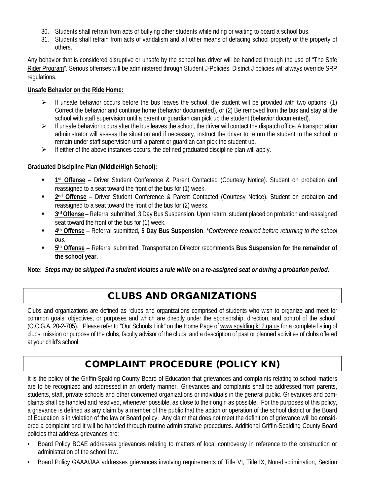- 30. Students shall refrain from acts of bullying other students while riding or waiting to board a school bus.
- 31. Students shall refrain from acts of vandalism and all other means of defacing school property or the property of others.

Any behavior that is considered disruptive or unsafe by the school bus driver will be handled through the use of "The Safe Rider Program". Serious offenses will be administered through Student J-Policies. District J policies will always override SRP regulations.

#### **Unsafe Behavior on the Ride Home:**

- If unsafe behavior occurs before the bus leaves the school, the student will be provided with two options: (1) Correct the behavior and continue home (behavior documented), or (2) Be removed from the bus and stay at the school with staff supervision until a parent or guardian can pick up the student (behavior documented).
- $\triangleright$  If unsafe behavior occurs after the bus leaves the school, the driver will contact the dispatch office. A transportation administrator will assess the situation and if necessary, instruct the driver to return the student to the school to remain under staff supervision until a parent or guardian can pick the student up.
- $\triangleright$  If either of the above instances occurs, the defined graduated discipline plan will apply.

#### **Graduated Discipline Plan (Middle/High School):**

- **1st Offense** Driver Student Conference & Parent Contacted (Courtesy Notice). Student on probation and reassigned to a seat toward the front of the bus for (1) week.
- **2nd Offense** Driver Student Conference & Parent Contacted (Courtesy Notice). Student on probation and reassigned to a seat toward the front of the bus for (2) weeks.
- **3rd Offense** Referral submitted, 3 Day Bus Suspension. Upon return, student placed on probation and reassigned seat toward the front of the bus for (1) week.
- **4th Offense** Referral submitted, **5 Day Bus Suspension**. \**Conference required before returning to the school bus.*
- **5th Offense** Referral submitted, Transportation Director recommends **Bus Suspension for the remainder of the school year.**

**Note:** *Steps may be skipped if a student violates a rule while on a re-assigned seat or during a probation period.*

# CLUBS AND ORGANIZATIONS

Clubs and organizations are defined as "clubs and organizations comprised of students who wish to organize and meet for common goals, objectives, or purposes and which are directly under the sponsorship, direction, and control of the school" (O.C.G.A. 20-2-705). Please refer to "Our Schools Link" on the Home Page of www.spalding.k12.ga.us for a complete listing of clubs, mission or purpose of the clubs, faculty advisor of the clubs, and a description of past or planned activities of clubs offered at your child's school.

# COMPLAINT PROCEDURE (POLICY KN)

It is the policy of the Griffin-Spalding County Board of Education that grievances and complaints relating to school matters are to be recognized and addressed in an orderly manner. Grievances and complaints shall be addressed from parents, students, staff, private schools and other concerned organizations or individuals in the general public. Grievances and complaints shall be handled and resolved, whenever possible, as close to their origin as possible. For the purposes of this policy, a grievance is defined as any claim by a member of the public that the action or operation of the school district or the Board of Education is in violation of the law or Board policy. Any claim that does not meet the definition of grievance will be considered a complaint and it will be handled through routine administrative procedures. Additional Griffin-Spalding County Board policies that address grievances are:

- Board Policy BCAE addresses grievances relating to matters of local controversy in reference to the construction or administration of the school law.
- Board Policy GAAA/JAA addresses grievances involving requirements of Title VI, Title IX, Non-discrimination, Section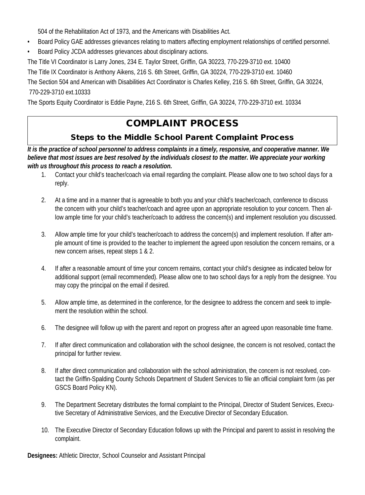504 of the Rehabilitation Act of 1973, and the Americans with Disabilities Act.

- Board Policy GAE addresses grievances relating to matters affecting employment relationships of certified personnel.
- Board Policy JCDA addresses grievances about disciplinary actions.

The Title VI Coordinator is Larry Jones, 234 E. Taylor Street, Griffin, GA 30223, 770-229-3710 ext. 10400

The Title IX Coordinator is Anthony Aikens, 216 S. 6th Street, Griffin, GA 30224, 770-229-3710 ext. 10460

The Section 504 and American with Disabilities Act Coordinator is Charles Kelley, 216 S. 6th Street, Griffin, GA 30224, 770-229-3710 ext.10333

The Sports Equity Coordinator is Eddie Payne, 216 S. 6th Street, Griffin, GA 30224, 770-229-3710 ext. 10334

# COMPLAINT PROCESS

## Steps to the Middle School Parent Complaint Process

*It is the practice of school personnel to address complaints in a timely, responsive, and cooperative manner. We believe that most issues are best resolved by the individuals closest to the matter. We appreciate your working with us throughout this process to reach a resolution.*

- 1. Contact your child's teacher/coach via email regarding the complaint. Please allow one to two school days for a reply.
- 2. At a time and in a manner that is agreeable to both you and your child's teacher/coach, conference to discuss the concern with your child's teacher/coach and agree upon an appropriate resolution to your concern. Then allow ample time for your child's teacher/coach to address the concern(s) and implement resolution you discussed.
- 3. Allow ample time for your child's teacher/coach to address the concern(s) and implement resolution. If after ample amount of time is provided to the teacher to implement the agreed upon resolution the concern remains, or a new concern arises, repeat steps 1 & 2.
- 4. If after a reasonable amount of time your concern remains, contact your child's designee as indicated below for additional support (email recommended). Please allow one to two school days for a reply from the designee. You may copy the principal on the email if desired.
- 5. Allow ample time, as determined in the conference, for the designee to address the concern and seek to implement the resolution within the school.
- 6. The designee will follow up with the parent and report on progress after an agreed upon reasonable time frame.
- 7. If after direct communication and collaboration with the school designee, the concern is not resolved, contact the principal for further review.
- 8. If after direct communication and collaboration with the school administration, the concern is not resolved, contact the Griffin-Spalding County Schools Department of Student Services to file an official complaint form (as per GSCS Board Policy KN).
- 9. The Department Secretary distributes the formal complaint to the Principal, Director of Student Services, Executive Secretary of Administrative Services, and the Executive Director of Secondary Education.
- 10. The Executive Director of Secondary Education follows up with the Principal and parent to assist in resolving the complaint.

**Designees:** Athletic Director, School Counselor and Assistant Principal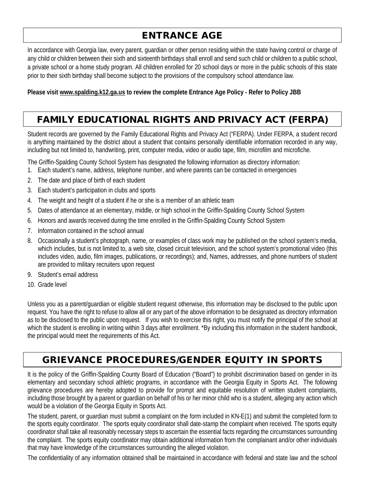# ENTRANCE AGE

In accordance with Georgia law, every parent, guardian or other person residing within the state having control or charge of any child or children between their sixth and sixteenth birthdays shall enroll and send such child or children to a public school, a private school or a home study program. All children enrolled for 20 school days or more in the public schools of this state prior to their sixth birthday shall become subject to the provisions of the compulsory school attendance law.

**Please visit www.spalding.k12.ga.us to review the complete Entrance Age Policy - Refer to Policy JBB**

# FAMILY EDUCATIONAL RIGHTS AND PRIVACY ACT (FERPA)

Student records are governed by the Family Educational Rights and Privacy Act ("FERPA). Under FERPA, a student record is anything maintained by the district about a student that contains personally identifiable information recorded in any way, including but not limited to, handwriting, print, computer media, video or audio tape, film, microfilm and microfiche.

The Griffin-Spalding County School System has designated the following information as directory information:

- 1. Each student's name, address, telephone number, and where parents can be contacted in emergencies
- 2. The date and place of birth of each student
- 3. Each student's participation in clubs and sports
- 4. The weight and height of a student if he or she is a member of an athletic team
- 5. Dates of attendance at an elementary, middle, or high school in the Griffin-Spalding County School System
- 6. Honors and awards received during the time enrolled in the Griffin-Spalding County School System
- 7. Information contained in the school annual
- 8. Occasionally a student's photograph, name, or examples of class work may be published on the school system's media, which includes, but is not limited to, a web site, closed circuit television, and the school system's promotional video (this includes video, audio, film images, publications, or recordings); and, Names, addresses, and phone numbers of student are provided to military recruiters upon request
- 9. Student's email address
- 10. Grade level

Unless you as a parent/guardian or eligible student request otherwise, this information may be disclosed to the public upon request. You have the right to refuse to allow all or any part of the above information to be designated as directory information as to be disclosed to the public upon request. If you wish to exercise this right, you must notify the principal of the school at which the student is enrolling in writing within 3 days after enrollment. \*By including this information in the student handbook, the principal would meet the requirements of this Act.

# GRIEVANCE PROCEDURES/GENDER EQUITY IN SPORTS

It is the policy of the Griffin-Spalding County Board of Education ("Board") to prohibit discrimination based on gender in its elementary and secondary school athletic programs, in accordance with the Georgia Equity in Sports Act. The following grievance procedures are hereby adopted to provide for prompt and equitable resolution of written student complaints, including those brought by a parent or guardian on behalf of his or her minor child who is a student, alleging any action which would be a violation of the Georgia Equity in Sports Act.

The student, parent, or guardian must submit a complaint on the form included in KN-E(1) and submit the completed form to the sports equity coordinator. The sports equity coordinator shall date-stamp the complaint when received. The sports equity coordinator shall take all reasonably necessary steps to ascertain the essential facts regarding the circumstances surrounding the complaint. The sports equity coordinator may obtain additional information from the complainant and/or other individuals that may have knowledge of the circumstances surrounding the alleged violation.

The confidentiality of any information obtained shall be maintained in accordance with federal and state law and the school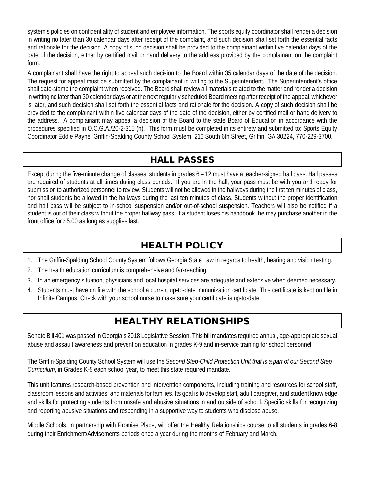system's policies on confidentiality of student and employee information. The sports equity coordinator shall render a decision in writing no later than 30 calendar days after receipt of the complaint, and such decision shall set forth the essential facts and rationale for the decision. A copy of such decision shall be provided to the complainant within five calendar days of the date of the decision, either by certified mail or hand delivery to the address provided by the complainant on the complaint form.

A complainant shall have the right to appeal such decision to the Board within 35 calendar days of the date of the decision. The request for appeal must be submitted by the complainant in writing to the Superintendent. The Superintendent's office shall date-stamp the complaint when received. The Board shall review all materials related to the matter and render a decision in writing no later than 30 calendar days or at the next regularly scheduled Board meeting after receipt of the appeal, whichever is later, and such decision shall set forth the essential facts and rationale for the decision. A copy of such decision shall be provided to the complainant within five calendar days of the date of the decision, either by certified mail or hand delivery to the address. A complainant may appeal a decision of the Board to the state Board of Education in accordance with the procedures specified in O.C.G.A./20-2-315 (h). This form must be completed in its entirety and submitted to: Sports Equity Coordinator Eddie Payne, Griffin-Spalding County School System, 216 South 6th Street, Griffin, GA 30224, 770-229-3700.

## HALL PASSES

Except during the five-minute change of classes, students in grades 6 – 12 must have a teacher-signed hall pass. Hall passes are required of students at all times during class periods. If you are in the hall, your pass must be with you and ready for submission to authorized personnel to review. Students will not be allowed in the hallways during the first ten minutes of class, nor shall students be allowed in the hallways during the last ten minutes of class. Students without the proper identification and hall pass will be subject to in-school suspension and/or out-of-school suspension. Teachers will also be notified if a student is out of their class without the proper hallway pass. If a student loses his handbook, he may purchase another in the front office for \$5.00 as long as supplies last.

# HEALTH POLICY

- 1. The Griffin-Spalding School County System follows Georgia State Law in regards to health, hearing and vision testing.
- 2. The health education curriculum is comprehensive and far-reaching.
- 3. In an emergency situation, physicians and local hospital services are adequate and extensive when deemed necessary.
- 4. Students must have on file with the school a current up-to-date immunization certificate. This certificate is kept on file in Infinite Campus. Check with your school nurse to make sure your certificate is up-to-date.

# HEALTHY RELATIONSHIPS

Senate Bill 401 was passed in Georgia's 2018 Legislative Session. This bill mandates required annual, age-appropriate sexual abuse and assault awareness and prevention education in grades K-9 and in-service training for school personnel.

The Griffin-Spalding County School System will use the *Second Step-Child Protection Unit that is a part of our Second Step Curriculum*, in Grades K-5 each school year, to meet this state required mandate.

This unit features research-based prevention and intervention components, including training and resources for school staff, classroom lessons and activities, and materials for families. Its goal is to develop staff, adult caregiver, and student knowledge and skills for protecting students from unsafe and abusive situations in and outside of school. Specific skills for recognizing and reporting abusive situations and responding in a supportive way to students who disclose abuse.

Middle Schools, in partnership with Promise Place, will offer the Healthy Relationships course to all students in grades 6-8 during their Enrichment/Advisements periods once a year during the months of February and March.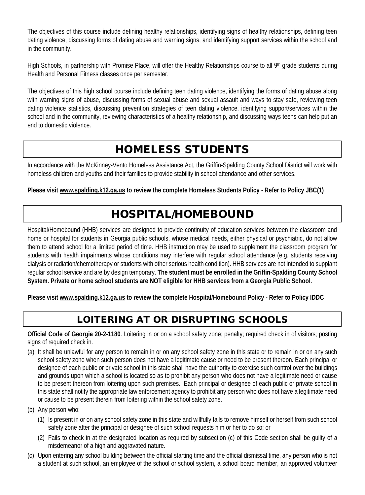The objectives of this course include defining healthy relationships, identifying signs of healthy relationships, defining teen dating violence, discussing forms of dating abuse and warning signs, and identifying support services within the school and in the community.

High Schools, in partnership with Promise Place, will offer the Healthy Relationships course to all 9<sup>th</sup> grade students during Health and Personal Fitness classes once per semester.

The objectives of this high school course include defining teen dating violence, identifying the forms of dating abuse along with warning signs of abuse, discussing forms of sexual abuse and sexual assault and ways to stay safe, reviewing teen dating violence statistics, discussing prevention strategies of teen dating violence, identifying support/services within the school and in the community, reviewing characteristics of a healthy relationship, and discussing ways teens can help put an end to domestic violence.

# HOMELESS STUDENTS

In accordance with the McKinney-Vento Homeless Assistance Act, the Griffin-Spalding County School District will work with homeless children and youths and their families to provide stability in school attendance and other services.

**Please visit www.spalding.k12.ga.us to review the complete Homeless Students Policy - Refer to Policy JBC(1)**

# HOSPITAL/HOMEBOUND

Hospital/Homebound (HHB) services are designed to provide continuity of education services between the classroom and home or hospital for students in Georgia public schools, whose medical needs, either physical or psychiatric, do not allow them to attend school for a limited period of time. HHB instruction may be used to supplement the classroom program for students with health impairments whose conditions may interfere with regular school attendance (e.g. students receiving dialysis or radiation/chemotherapy or students with other serious health condition). HHB services are not intended to supplant regular school service and are by design temporary. **The student must be enrolled in the Griffin-Spalding County School System. Private or home school students are NOT eligible for HHB services from a Georgia Public School.**

**Please visit www.spalding.k12.ga.us to review the complete Hospital/Homebound Policy - Refer to Policy IDDC**

# LOITERING AT OR DISRUPTING SCHOOLS

**Official Code of Georgia 20-2-1180**. Loitering in or on a school safety zone; penalty; required check in of visitors; posting signs of required check in.

- (a) It shall be unlawful for any person to remain in or on any school safety zone in this state or to remain in or on any such school safety zone when such person does not have a legitimate cause or need to be present thereon. Each principal or designee of each public or private school in this state shall have the authority to exercise such control over the buildings and grounds upon which a school is located so as to prohibit any person who does not have a legitimate need or cause to be present thereon from loitering upon such premises. Each principal or designee of each public or private school in this state shall notify the appropriate law enforcement agency to prohibit any person who does not have a legitimate need or cause to be present therein from loitering within the school safety zone.
- (b) Any person who:
	- (1) Is present in or on any school safety zone in this state and willfully fails to remove himself or herself from such school safety zone after the principal or designee of such school requests him or her to do so; or
	- (2) Fails to check in at the designated location as required by subsection (c) of this Code section shall be guilty of a misdemeanor of a high and aggravated nature.
- (c) Upon entering any school building between the official starting time and the official dismissal time, any person who is not a student at such school, an employee of the school or school system, a school board member, an approved volunteer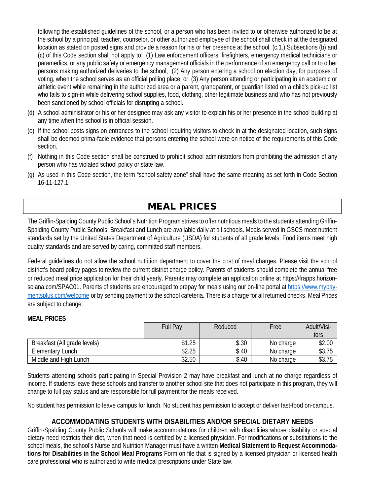following the established guidelines of the school, or a person who has been invited to or otherwise authorized to be at the school by a principal, teacher, counselor, or other authorized employee of the school shall check in at the designated location as stated on posted signs and provide a reason for his or her presence at the school. (c.1.) Subsections (b) and (c) of this Code section shall not apply to: (1) Law enforcement officers, firefighters, emergency medical technicians or paramedics, or any public safety or emergency management officials in the performance of an emergency call or to other persons making authorized deliveries to the school; (2) Any person entering a school on election day, for purposes of voting, when the school serves as an official polling place; or (3) Any person attending or participating in an academic or athletic event while remaining in the authorized area or a parent, grandparent, or guardian listed on a child's pick-up list who fails to sign-in while delivering school supplies, food, clothing, other legitimate business and who has not previously been sanctioned by school officials for disrupting a school.

- (d) A school administrator or his or her designee may ask any visitor to explain his or her presence in the school building at any time when the school is in official session.
- (e) If the school posts signs on entrances to the school requiring visitors to check in at the designated location, such signs shall be deemed prima-facie evidence that persons entering the school were on notice of the requirements of this Code section.
- (f) Nothing in this Code section shall be construed to prohibit school administrators from prohibiting the admission of any person who has violated school policy or state law.
- (g) As used in this Code section, the term "school safety zone" shall have the same meaning as set forth in Code Section 16-11-127.1.

# MEAL PRICES

The Griffin-Spalding County Public School's Nutrition Program strives to offer nutritious meals to the students attending Griffin-Spalding County Public Schools. Breakfast and Lunch are available daily at all schools. Meals served in GSCS meet nutrient standards set by the United States Department of Agriculture (USDA) for students of all grade levels. Food items meet high quality standards and are served by caring, committed staff members.

Federal guidelines do not allow the school nutrition department to cover the cost of meal charges. Please visit the school district's board policy pages to review the current district charge policy. Parents of students should complete the annual free or reduced meal price application for their child yearly. Parents may complete an application online at https://frapps.horizonsolana.com/SPAC01. Parents of students are encouraged to prepay for meals using our on-line portal at https://www.mypaymentsplus.com/welcome or by sending payment to the school cafeteria. There is a charge for all returned checks. Meal Prices are subject to change.

#### **MEAL PRICES**

|                              | <b>Full Pay</b> | Reduced | Free      | Adult/Visi- |
|------------------------------|-----------------|---------|-----------|-------------|
|                              |                 |         |           | tors        |
| Breakfast (All grade levels) | \$1.25          | \$.30   | No charge | \$2.00      |
| Elementary Lunch             | \$2.25          | \$.40   | No charge | \$3.75      |
| Middle and High Lunch        | \$2.50          | \$.40   | No charge | \$3.75      |

Students attending schools participating in Special Provision 2 may have breakfast and lunch at no charge regardless of income. If students leave these schools and transfer to another school site that does not participate in this program, they will change to full pay status and are responsible for full payment for the meals received.

No student has permission to leave campus for lunch. No student has permission to accept or deliver fast-food on-campus.

## **ACCOMMODATING STUDENTS WITH DISABILITIES AND/OR SPECIAL DIETARY NEEDS**

Griffin-Spalding County Public Schools will make accommodations for children with disabilities whose disability or special dietary need restricts their diet, when that need is certified by a licensed physician. For modifications or substitutions to the school meals, the school's Nurse and Nutrition Manager must have a written **Medical Statement to Request Accommodations for Disabilities in the School Meal Programs** Form on file that is signed by a licensed physician or licensed health care professional who is authorized to write medical prescriptions under State law.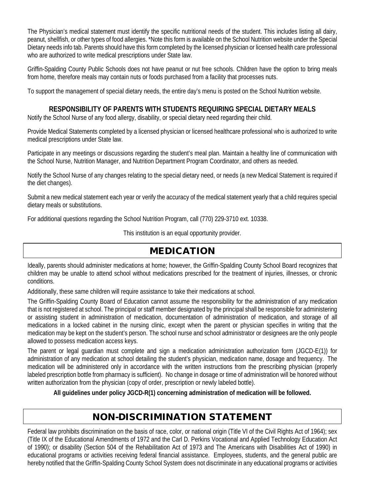The Physician's medical statement must identify the specific nutritional needs of the student. This includes listing all dairy, peanut, shellfish, or other types of food allergies. \*Note this form is available on the School Nutrition website under the Special Dietary needs info tab. Parents should have this form completed by the licensed physician or licensed health care professional who are authorized to write medical prescriptions under State law.

Griffin-Spalding County Public Schools does not have peanut or nut free schools. Children have the option to bring meals from home, therefore meals may contain nuts or foods purchased from a facility that processes nuts.

To support the management of special dietary needs, the entire day's menu is posted on the School Nutrition website.

### **RESPONSIBILITY OF PARENTS WITH STUDENTS REQUIRING SPECIAL DIETARY MEALS**

Notify the School Nurse of any food allergy, disability, or special dietary need regarding their child.

Provide Medical Statements completed by a licensed physician or licensed healthcare professional who is authorized to write medical prescriptions under State law.

Participate in any meetings or discussions regarding the student's meal plan. Maintain a healthy line of communication with the School Nurse, Nutrition Manager, and Nutrition Department Program Coordinator, and others as needed.

Notify the School Nurse of any changes relating to the special dietary need, or needs (a new Medical Statement is required if the diet changes).

Submit a new medical statement each year or verify the accuracy of the medical statement yearly that a child requires special dietary meals or substitutions.

For additional questions regarding the School Nutrition Program, call (770) 229-3710 ext. 10338.

This institution is an equal opportunity provider.

## MEDICATION

Ideally, parents should administer medications at home; however, the Griffin-Spalding County School Board recognizes that children may be unable to attend school without medications prescribed for the treatment of injuries, illnesses, or chronic conditions.

Additionally, these same children will require assistance to take their medications at school.

The Griffin-Spalding County Board of Education cannot assume the responsibility for the administration of any medication that is not registered at school. The principal or staff member designated by the principal shall be responsible for administering or assisting student in administration of medication, documentation of administration of medication, and storage of all medications in a locked cabinet in the nursing clinic, except when the parent or physician specifies in writing that the medication may be kept on the student's person. The school nurse and school administrator or designees are the only people allowed to possess medication access keys.

The parent or legal guardian must complete and sign a medication administration authorization form (JGCD-E(1)) for administration of any medication at school detailing the student's physician, medication name, dosage and frequency. The medication will be administered only in accordance with the written instructions from the prescribing physician (properly labeled prescription bottle from pharmacy is sufficient). No change in dosage or time of administration will be honored without written authorization from the physician (copy of order, prescription or newly labeled bottle).

**All guidelines under policy JGCD-R(1) concerning administration of medication will be followed.**

## NON-DISCRIMINATION STATEMENT

Federal law prohibits discrimination on the basis of race, color, or national origin (Title VI of the Civil Rights Act of 1964); sex (Title IX of the Educational Amendments of 1972 and the Carl D. Perkins Vocational and Applied Technology Education Act of 1990); or disability (Section 504 of the Rehabilitation Act of 1973 and The Americans with Disabilities Act of 1990) in educational programs or activities receiving federal financial assistance. Employees, students, and the general public are hereby notified that the Griffin-Spalding County School System does not discriminate in any educational programs or activities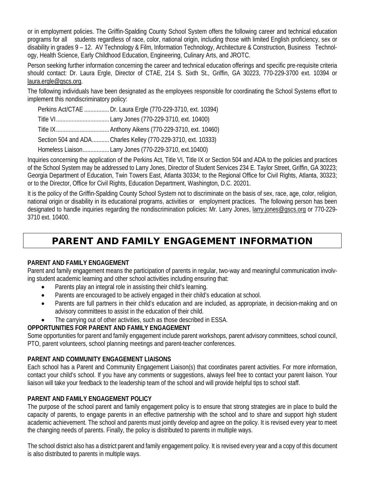or in employment policies. The Griffin-Spalding County School System offers the following career and technical education programs for all students regardless of race, color, national origin, including those with limited English proficiency, sex or disability in grades 9 – 12. AV Technology & Film, Information Technology, Architecture & Construction, Business Technology, Health Science, Early Childhood Education, Engineering, Culinary Arts, and JROTC.

Person seeking further information concerning the career and technical education offerings and specific pre-requisite criteria should contact: Dr. Laura Ergle, Director of CTAE, 214 S. Sixth St., Griffin, GA 30223, 770-229-3700 ext. 10394 or laura.ergle@gscs.org.

The following individuals have been designated as the employees responsible for coordinating the School Systems effort to implement this nondiscriminatory policy:

| Perkins Act/CTAE  Dr. Laura Ergle (770-229-3710, ext. 10394)  |
|---------------------------------------------------------------|
|                                                               |
|                                                               |
| Section 504 and ADA Charles Kelley (770-229-3710, ext. 10333) |
| Homeless Liaison Larry Jones (770-229-3710, ext.10400)        |

Inquiries concerning the application of the Perkins Act, Title VI, Title IX or Section 504 and ADA to the policies and practices of the School System may be addressed to Larry Jones, Director of Student Services 234 E. Taylor Street, Griffin, GA 30223; Georgia Department of Education, Twin Towers East, Atlanta 30334; to the Regional Office for Civil Rights, Atlanta, 30323; or to the Director, Office for Civil Rights, Education Department, Washington, D.C. 20201.

It is the policy of the Griffin-Spalding County School System not to discriminate on the basis of sex, race, age, color, religion, national origin or disability in its educational programs, activities or employment practices. The following person has been designated to handle inquiries regarding the nondiscrimination policies: Mr. Larry Jones, larry.jones@gscs.org or 770-229- 3710 ext. 10400.

# PARENT AND FAMILY ENGAGEMENT INFORMATION

#### **PARENT AND FAMILY ENGAGEMENT**

Parent and family engagement means the participation of parents in regular, two-way and meaningful communication involving student academic learning and other school activities including ensuring that:

- Parents play an integral role in assisting their child's learning.
- Parents are encouraged to be actively engaged in their child's education at school.
- Parents are full partners in their child's education and are included, as appropriate, in decision-making and on advisory committees to assist in the education of their child.
- The carrying out of other activities, such as those described in ESSA.

#### **OPPORTUNITIES FOR PARENT AND FAMILY ENGAGEMENT**

Some opportunities for parent and family engagement include parent workshops, parent advisory committees, school council, PTO, parent volunteers, school planning meetings and parent-teacher conferences.

#### **PARENT AND COMMUNITY ENGAGEMENT LIAISONS**

Each school has a Parent and Community Engagement Liaison(s) that coordinates parent activities. For more information, contact your child's school. If you have any comments or suggestions, always feel free to contact your parent liaison. Your liaison will take your feedback to the leadership team of the school and will provide helpful tips to school staff.

#### **PARENT AND FAMILY ENGAGEMENT POLICY**

The purpose of the school parent and family engagement policy is to ensure that strong strategies are in place to build the capacity of parents, to engage parents in an effective partnership with the school and to share and support high student academic achievement. The school and parents must jointly develop and agree on the policy. It is revised every year to meet the changing needs of parents. Finally, the policy is distributed to parents in multiple ways.

The school district also has a district parent and family engagement policy. It is revised every year and a copy of this document is also distributed to parents in multiple ways.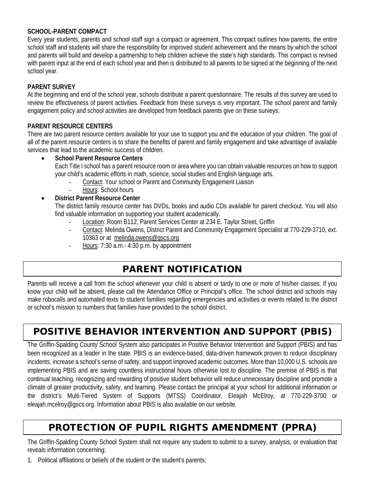#### **SCHOOL-PARENT COMPACT**

Every year students, parents and school staff sign a compact or agreement. This compact outlines how parents, the entire school staff and students will share the responsibility for improved student achievement and the means by which the school and parents will build and develop a partnership to help children achieve the state's high standards. This compact is revised with parent input at the end of each school year and then is distributed to all parents to be signed at the beginning of the next school year.

#### **PARENT SURVEY**

At the beginning and end of the school year, schools distribute a parent questionnaire. The results of this survey are used to review the effectiveness of parent activities. Feedback from these surveys is very important. The school parent and family engagement policy and school activities are developed from feedback parents give on these surveys.

#### **PARENT RESOURCE CENTERS**

There are two parent resource centers available for your use to support you and the education of your children. The goal of all of the parent resource centers is to share the benefits of parent and family engagement and take advantage of available services that lead to the academic success of children.

#### • **School Parent Resource Centers**

Each Title I school has a parent resource room or area where you can obtain valuable resources on how to support your child's academic efforts in math, science, social studies and English language arts.

- Contact: Your school or Parent and Community Engagement Liaison
- Hours: School hours

#### • **District Parent Resource Center**

The district family resource center has DVDs, books and audio CDs available for parent checkout. You will also find valuable information on supporting your student academically.

- Location: Room B112, Parent Services Center at 234 E. Taylor Street, Griffin
- Contact: Melinda Owens, District Parent and Community Engagement Specialist at 770-229-3710, ext. 10363 or at melinda.owens@gscs.org
- Hours: 7:30 a.m.- 4:30 p.m. by appointment

## PARENT NOTIFICATION

Parents will receive a call from the school whenever your child is absent or tardy to one or more of his/her classes. If you know your child will be absent, please call the Attendance Office or Principal's office. The school district and schools may make robocalls and automated texts to student families regarding emergencies and activities or events related to the district or school's mission to numbers that families have provided to the school district.

# POSITIVE BEHAVIOR INTERVENTION AND SUPPORT (PBIS)

The Griffin-Spalding County School System also participates in Positive Behavior Intervention and Support (PBIS) and has been recognized as a leader in the state. PBIS is an evidence-based, data-driven framework proven to reduce disciplinary incidents, increase a school's sense of safety, and support improved academic outcomes. More than 10,000 U.S. schools are implementing PBIS and are saving countless instructional hours otherwise lost to discipline. The premise of PBIS is that continual teaching, recognizing and rewarding of positive student behavior will reduce unnecessary discipline and promote a climate of greater productivity, safety, and learning. Please contact the principal at your school for additional information or the district's Multi-Tiered System of Supports (MTSS) Coordinator, Eleajah McElroy, at 770-229-3700 or eleajah.mcelroy@gscs.org. Information about PBIS is also available on our website.

## PROTECTION OF PUPIL RIGHTS AMENDMENT (PPRA)

The Griffin-Spalding County School System shall not require any student to submit to a survey, analysis, or evaluation that reveals information concerning:

1. Political affiliations or beliefs of the student or the student's parents;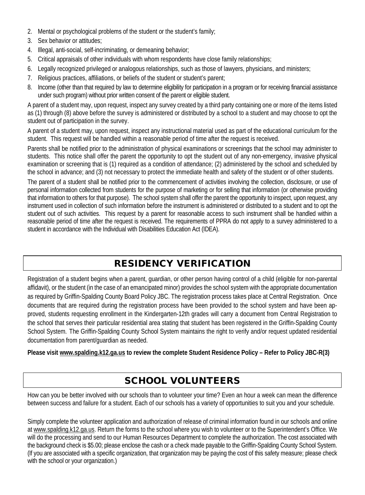- 2. Mental or psychological problems of the student or the student's family;
- 3. Sex behavior or attitudes;
- 4. Illegal, anti-social, self-incriminating, or demeaning behavior;
- 5. Critical appraisals of other individuals with whom respondents have close family relationships;
- 6. Legally recognized privileged or analogous relationships, such as those of lawyers, physicians, and ministers;
- 7. Religious practices, affiliations, or beliefs of the student or student's parent;
- 8. Income (other than that required by law to determine eligibility for participation in a program or for receiving financial assistance under such program) without prior written consent of the parent or eligible student.

A parent of a student may, upon request, inspect any survey created by a third party containing one or more of the items listed as (1) through (8) above before the survey is administered or distributed by a school to a student and may choose to opt the student out of participation in the survey.

A parent of a student may, upon request, inspect any instructional material used as part of the educational curriculum for the student. This request will be handled within a reasonable period of time after the request is received.

Parents shall be notified prior to the administration of physical examinations or screenings that the school may administer to students. This notice shall offer the parent the opportunity to opt the student out of any non-emergency, invasive physical examination or screening that is (1) required as a condition of attendance; (2) administered by the school and scheduled by the school in advance; and (3) not necessary to protect the immediate health and safety of the student or of other students.

The parent of a student shall be notified prior to the commencement of activities involving the collection, disclosure, or use of personal information collected from students for the purpose of marketing or for selling that information (or otherwise providing that information to others for that purpose). The school system shall offer the parent the opportunity to inspect, upon request, any instrument used in collection of such information before the instrument is administered or distributed to a student and to opt the student out of such activities. This request by a parent for reasonable access to such instrument shall be handled within a reasonable period of time after the request is received. The requirements of PPRA do not apply to a survey administered to a student in accordance with the Individual with Disabilities Education Act (IDEA).

## RESIDENCY VERIFICATION

Registration of a student begins when a parent, guardian, or other person having control of a child (eligible for non-parental affidavit), or the student (in the case of an emancipated minor) provides the school system with the appropriate documentation as required by Griffin-Spalding County Board Policy JBC. The registration process takes place at Central Registration. Once documents that are required during the registration process have been provided to the school system and have been approved, students requesting enrollment in the Kindergarten-12th grades will carry a document from Central Registration to the school that serves their particular residential area stating that student has been registered in the Griffin-Spalding County School System. The Griffin-Spalding County School System maintains the right to verify and/or request updated residential documentation from parent/guardian as needed.

**Please visit www.spalding.k12.ga.us to review the complete Student Residence Policy – Refer to Policy JBC-R(3)**

# SCHOOL VOLUNTEERS

How can you be better involved with our schools than to volunteer your time? Even an hour a week can mean the difference between success and failure for a student. Each of our schools has a variety of opportunities to suit you and your schedule.

Simply complete the volunteer application and authorization of release of criminal information found in our schools and online at www.spalding.k12.ga.us. Return the forms to the school where you wish to volunteer or to the Superintendent's Office. We will do the processing and send to our Human Resources Department to complete the authorization. The cost associated with the background check is \$5.00; please enclose the cash or a check made payable to the Griffin-Spalding County School System. (If you are associated with a specific organization, that organization may be paying the cost of this safety measure; please check with the school or your organization.)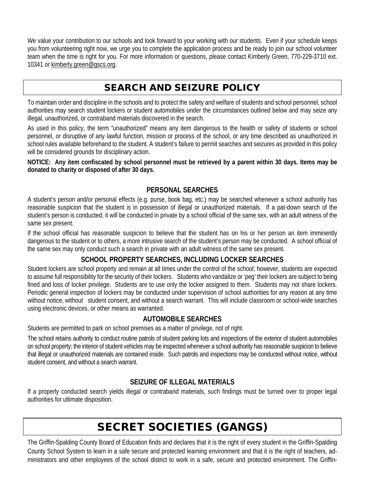We value your contribution to our schools and look forward to your working with our students. Even if your schedule keeps you from volunteering right now, we urge you to complete the application process and be ready to join our school volunteer team when the time is right for you. For more information or questions, please contact Kimberly Green, 770-229-3710 ext. 10341 or kimberly.green@gscs.org.

## SEARCH AND SEIZURE POLICY

To maintain order and discipline in the schools and to protect the safety and welfare of students and school personnel, school authorities may search student lockers or student automobiles under the circumstances outlined below and may seize any illegal, unauthorized, or contraband materials discovered in the search.

As used in this policy, the term "unauthorized" means any item dangerous to the health or safety of students or school personnel, or disruptive of any lawful function, mission or process of the school, or any time described as unauthorized in school rules available beforehand to the student. A student's failure to permit searches and seizures as provided in this policy will be considered grounds for disciplinary action.

**NOTICE: Any item confiscated by school personnel must be retrieved by a parent within 30 days. Items may be donated to charity or disposed of after 30 days.**

### **PERSONAL SEARCHES**

A student's person and/or personal effects (e.g. purse, book bag, etc.) may be searched whenever a school authority has reasonable suspicion that the student is in possession of illegal or unauthorized materials. If a pat-down search of the student's person is conducted, it will be conducted in private by a school official of the same sex, with an adult witness of the same sex present.

If the school official has reasonable suspicion to believe that the student has on his or her person an item imminently dangerous to the student or to others, a more intrusive search of the student's person may be conducted. A school official of the same sex may only conduct such a search in private with an adult witness of the same sex present.

## **SCHOOL PROPERTY SEARCHES, INCLUDING LOCKER SEARCHES**

Student lockers are school property and remain at all times under the control of the school; however, students are expected to assume full responsibility for the security of their lockers. Students who vandalize or 'peg' their lockers are subject to being fined and loss of locker privilege. Students are to use only the locker assigned to them. Students may not share lockers. Periodic general inspection of lockers may be conducted under supervision of school authorities for any reason at any time without notice, without student consent, and without a search warrant. This will include classroom or school-wide searches using electronic devices, or other means as warranted.

## **AUTOMOBILE SEARCHES**

Students are permitted to park on school premises as a matter of privilege, not of right.

The school retains authority to conduct routine patrols of student parking lots and inspections of the exterior of student automobiles on school property; the interior of student vehicles may be inspected whenever a school authority has reasonable suspicion to believe that illegal or unauthorized materials are contained inside. Such patrols and inspections may be conducted without notice, without student consent, and without a search warrant.

## **SEIZURE OF ILLEGAL MATERIALS**

If a properly conducted search yields illegal or contraband materials, such findings must be turned over to proper legal authorities for ultimate disposition.

# SECRET SOCIETIES (GANGS)

The Griffin-Spalding County Board of Education finds and declares that it is the right of every student in the Griffin-Spalding County School System to learn in a safe secure and protected learning environment and that it is the right of teachers, administrators and other employees of the school district to work in a safe, secure and protected environment. The Griffin-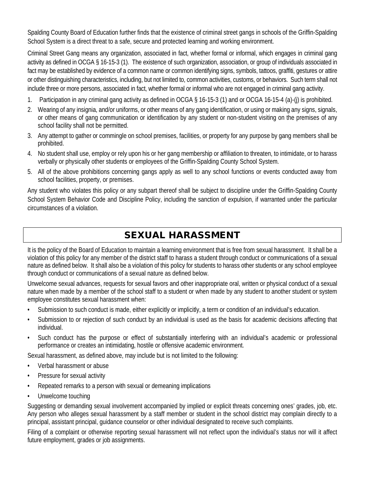Spalding County Board of Education further finds that the existence of criminal street gangs in schools of the Griffin-Spalding School System is a direct threat to a safe, secure and protected learning and working environment.

Criminal Street Gang means any organization, associated in fact, whether formal or informal, which engages in criminal gang activity as defined in OCGA § 16-15-3 (1). The existence of such organization, association, or group of individuals associated in fact may be established by evidence of a common name or common identifying signs, symbols, tattoos, graffiti, gestures or attire or other distinguishing characteristics, including, but not limited to, common activities, customs, or behaviors. Such term shall not include three or more persons, associated in fact, whether formal or informal who are not engaged in criminal gang activity.

- 1. Participation in any criminal gang activity as defined in OCGA § 16-15-3 (1) and or OCGA 16-15-4 (a)-(j) is prohibited.
- 2. Wearing of any insignia, and/or uniforms, or other means of any gang identification, or using or making any signs, signals, or other means of gang communication or identification by any student or non-student visiting on the premises of any school facility shall not be permitted.
- 3. Any attempt to gather or commingle on school premises, facilities, or property for any purpose by gang members shall be prohibited.
- 4. No student shall use, employ or rely upon his or her gang membership or affiliation to threaten, to intimidate, or to harass verbally or physically other students or employees of the Griffin-Spalding County School System.
- 5. All of the above prohibitions concerning gangs apply as well to any school functions or events conducted away from school facilities, property, or premises.

Any student who violates this policy or any subpart thereof shall be subject to discipline under the Griffin-Spalding County School System Behavior Code and Discipline Policy, including the sanction of expulsion, if warranted under the particular circumstances of a violation.

# SEXUAL HARASSMENT

It is the policy of the Board of Education to maintain a learning environment that is free from sexual harassment. It shall be a violation of this policy for any member of the district staff to harass a student through conduct or communications of a sexual nature as defined below. It shall also be a violation of this policy for students to harass other students or any school employee through conduct or communications of a sexual nature as defined below.

Unwelcome sexual advances, requests for sexual favors and other inappropriate oral, written or physical conduct of a sexual nature when made by a member of the school staff to a student or when made by any student to another student or system employee constitutes sexual harassment when:

- Submission to such conduct is made, either explicitly or implicitly, a term or condition of an individual's education.
- Submission to or rejection of such conduct by an individual is used as the basis for academic decisions affecting that individual.
- Such conduct has the purpose or effect of substantially interfering with an individual's academic or professional performance or creates an intimidating, hostile or offensive academic environment.

Sexual harassment, as defined above, may include but is not limited to the following:

- Verbal harassment or abuse
- Pressure for sexual activity
- Repeated remarks to a person with sexual or demeaning implications
- Unwelcome touching

Suggesting or demanding sexual involvement accompanied by implied or explicit threats concerning ones' grades, job, etc. Any person who alleges sexual harassment by a staff member or student in the school district may complain directly to a principal, assistant principal, guidance counselor or other individual designated to receive such complaints.

Filing of a complaint or otherwise reporting sexual harassment will not reflect upon the individual's status nor will it affect future employment, grades or job assignments.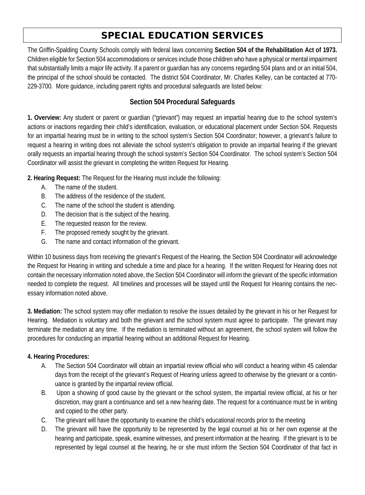# SPECIAL EDUCATION SERVICES

The Griffin-Spalding County Schools comply with federal laws concerning **Section 504 of the Rehabilitation Act of 1973.** Children eligible for Section 504 accommodations or services include those children who have a physical or mental impairment that substantially limits a major life activity. If a parent or guardian has any concerns regarding 504 plans and or an initial 504, the principal of the school should be contacted. The district 504 Coordinator, Mr. Charles Kelley, can be contacted at 770- 229-3700. More guidance, including parent rights and procedural safeguards are listed below:

## **Section 504 Procedural Safeguards**

**1. Overview:** Any student or parent or guardian ("grievant") may request an impartial hearing due to the school system's actions or inactions regarding their child's identification, evaluation, or educational placement under Section 504. Requests for an impartial hearing must be in writing to the school system's Section 504 Coordinator; however, a grievant's failure to request a hearing in writing does not alleviate the school system's obligation to provide an impartial hearing if the grievant orally requests an impartial hearing through the school system's Section 504 Coordinator. The school system's Section 504 Coordinator will assist the grievant in completing the written Request for Hearing.

**2. Hearing Request:** The Request for the Hearing must include the following:

- A. The name of the student.
- B. The address of the residence of the student.
- C. The name of the school the student is attending.
- D. The decision that is the subject of the hearing.
- E. The requested reason for the review.
- F. The proposed remedy sought by the grievant.
- G. The name and contact information of the grievant.

Within 10 business days from receiving the grievant's Request of the Hearing, the Section 504 Coordinator will acknowledge the Request for Hearing in writing and schedule a time and place for a hearing. If the written Request for Hearing does not contain the necessary information noted above, the Section 504 Coordinator will inform the grievant of the specific information needed to complete the request. All timelines and processes will be stayed until the Request for Hearing contains the necessary information noted above.

**3. Mediation:** The school system may offer mediation to resolve the issues detailed by the grievant in his or her Request for Hearing. Mediation is voluntary and both the grievant and the school system must agree to participate. The grievant may terminate the mediation at any time. If the mediation is terminated without an agreement, the school system will follow the procedures for conducting an impartial hearing without an additional Request for Hearing.

#### **4. Hearing Procedures:**

- A. The Section 504 Coordinator will obtain an impartial review official who will conduct a hearing within 45 calendar days from the receipt of the grievant's Request of Hearing unless agreed to otherwise by the grievant or a continuance is granted by the impartial review official.
- B. Upon a showing of good cause by the grievant or the school system, the impartial review official, at his or her discretion, may grant a continuance and set a new hearing date. The request for a continuance must be in writing and copied to the other party.
- C. The grievant will have the opportunity to examine the child's educational records prior to the meeting
- D. The grievant will have the opportunity to be represented by the legal counsel at his or her own expense at the hearing and participate, speak, examine witnesses, and present information at the hearing. If the grievant is to be represented by legal counsel at the hearing, he or she must inform the Section 504 Coordinator of that fact in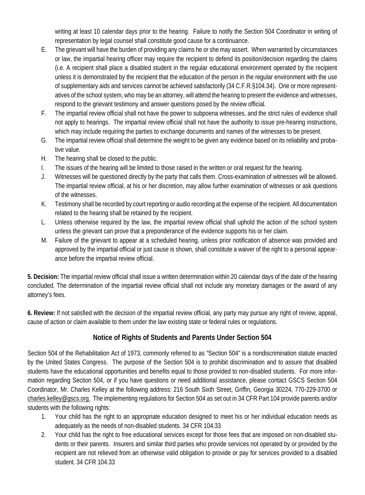writing at least 10 calendar days prior to the hearing. Failure to notify the Section 504 Coordinator in writing of representation by legal counsel shall constitute good cause for a continuance.

- E. The grievant will have the burden of providing any claims he or she may assert. When warranted by circumstances or law, the impartial hearing officer may require the recipient to defend its position/decision regarding the claims (i.e. A recipient shall place a disabled student in the regular educational environment operated by the recipient unless it is demonstrated by the recipient that the education of the person in the regular environment with the use of supplementary aids and services cannot be achieved satisfactorily (34 C.F.R.§104.34). One or more representatives of the school system, who may be an attorney, will attend the hearing to present the evidence and witnesses, respond to the grievant testimony and answer questions posed by the review official.
- F. The impartial review official shall not have the power to subpoena witnesses, and the strict rules of evidence shall not apply to hearings. The impartial review official shall not have the authority to issue pre-hearing instructions, which may include requiring the parties to exchange documents and names of the witnesses to be present.
- G. The impartial review official shall determine the weight to be given any evidence based on its reliability and probative value.
- H. The hearing shall be closed to the public.
- I. The issues of the hearing will be limited to those raised in the written or oral request for the hearing.
- J. Witnesses will be questioned directly by the party that calls them. Cross-examination of witnesses will be allowed. The impartial review official, at his or her discretion, may allow further examination of witnesses or ask questions of the witnesses.
- K. Testimony shall be recorded by court reporting or audio recording at the expense of the recipient. All documentation related to the hearing shall be retained by the recipient.
- L. Unless otherwise required by the law, the impartial review official shall uphold the action of the school system unless the grievant can prove that a preponderance of the evidence supports his or her claim.
- M. Failure of the grievant to appear at a scheduled hearing, unless prior notification of absence was provided and approved by the impartial official or just cause is shown, shall constitute a waiver of the right to a personal appearance before the impartial review official.

**5. Decision:** The impartial review official shall issue a written determination within 20 calendar days of the date of the hearing concluded. The determination of the impartial review official shall not include any monetary damages or the award of any attorney's fees.

**6. Review:** If not satisfied with the decision of the impartial review official, any party may pursue any right of review, appeal, cause of action or claim available to them under the law existing state or federal rules or regulations.

## **Notice of Rights of Students and Parents Under Section 504**

Section 504 of the Rehabilitation Act of 1973, commonly referred to as "Section 504" is a nondiscrimination statute enacted by the United States Congress. The purpose of the Section 504 is to prohibit discrimination and to assure that disabled students have the educational opportunities and benefits equal to those provided to non-disabled students. For more information regarding Section 504, or if you have questions or need additional assistance, please contact GSCS Section 504 Coordinator, Mr. Charles Kelley at the following address: 216 South Sixth Street, Griffin, Georgia 30224, 770-229-3700 or charles.kelley@gscs.org. The implementing regulations for Section 504 as set out in 34 CFR Part 104 provide parents and/or students with the following rights:

- 1. Your child has the right to an appropriate education designed to meet his or her individual education needs as adequately as the needs of non-disabled students. 34 CFR 104.33
- 2. Your child has the right to free educational services except for those fees that are imposed on non-disabled students or their parents. Insurers and similar third parties who provide services not operated by or provided by the recipient are not relieved from an otherwise valid obligation to provide or pay for services provided to a disabled student. 34 CFR 104.33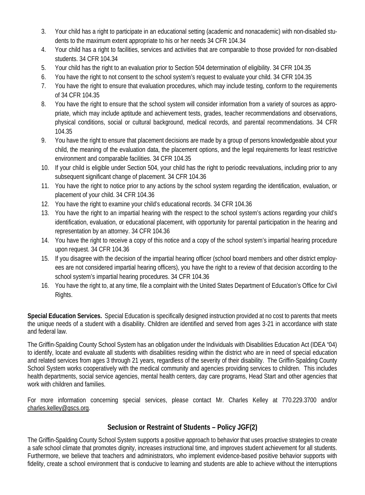- 3. Your child has a right to participate in an educational setting (academic and nonacademic) with non-disabled students to the maximum extent appropriate to his or her needs 34 CFR 104.34
- 4. Your child has a right to facilities, services and activities that are comparable to those provided for non-disabled students. 34 CFR 104.34
- 5. Your child has the right to an evaluation prior to Section 504 determination of eligibility. 34 CFR 104.35
- 6. You have the right to not consent to the school system's request to evaluate your child. 34 CFR 104.35
- 7. You have the right to ensure that evaluation procedures, which may include testing, conform to the requirements of 34 CFR 104.35
- 8. You have the right to ensure that the school system will consider information from a variety of sources as appropriate, which may include aptitude and achievement tests, grades, teacher recommendations and observations, physical conditions, social or cultural background, medical records, and parental recommendations. 34 CFR 104.35
- 9. You have the right to ensure that placement decisions are made by a group of persons knowledgeable about your child, the meaning of the evaluation data, the placement options, and the legal requirements for least restrictive environment and comparable facilities. 34 CFR 104.35
- 10. If your child is eligible under Section 504, your child has the right to periodic reevaluations, including prior to any subsequent significant change of placement. 34 CFR 104.36
- 11. You have the right to notice prior to any actions by the school system regarding the identification, evaluation, or placement of your child. 34 CFR 104.36
- 12. You have the right to examine your child's educational records. 34 CFR 104.36
- 13. You have the right to an impartial hearing with the respect to the school system's actions regarding your child's identification, evaluation, or educational placement, with opportunity for parental participation in the hearing and representation by an attorney. 34 CFR 104.36
- 14. You have the right to receive a copy of this notice and a copy of the school system's impartial hearing procedure upon request. 34 CFR 104.36
- 15. If you disagree with the decision of the impartial hearing officer (school board members and other district employees are not considered impartial hearing officers), you have the right to a review of that decision according to the school system's impartial hearing procedures. 34 CFR 104.36
- 16. You have the right to, at any time, file a complaint with the United States Department of Education's Office for Civil Rights.

**Special Education Services.** Special Education is specifically designed instruction provided at no cost to parents that meets the unique needs of a student with a disability. Children are identified and served from ages 3-21 in accordance with state and federal law.

The Griffin-Spalding County School System has an obligation under the Individuals with Disabilities Education Act (IDEA "04) to identify, locate and evaluate all students with disabilities residing within the district who are in need of special education and related services from ages 3 through 21 years, regardless of the severity of their disability. The Griffin-Spalding County School System works cooperatively with the medical community and agencies providing services to children. This includes health departments, social service agencies, mental health centers, day care programs, Head Start and other agencies that work with children and families.

For more information concerning special services, please contact Mr. Charles Kelley at 770.229.3700 and/or charles.kelley@gscs.org.

## **Seclusion or Restraint of Students – Policy JGF(2)**

The Griffin-Spalding County School System supports a positive approach to behavior that uses proactive strategies to create a safe school climate that promotes dignity, increases instructional time, and improves student achievement for all students. Furthermore, we believe that teachers and administrators, who implement evidence-based positive behavior supports with fidelity, create a school environment that is conducive to learning and students are able to achieve without the interruptions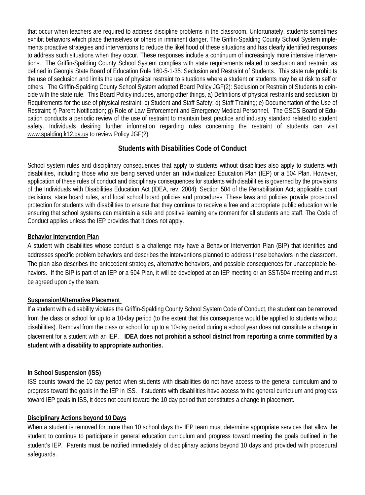that occur when teachers are required to address discipline problems in the classroom. Unfortunately, students sometimes exhibit behaviors which place themselves or others in imminent danger. The Griffin-Spalding County School System implements proactive strategies and interventions to reduce the likelihood of these situations and has clearly identified responses to address such situations when they occur. These responses include a continuum of increasingly more intensive interventions. The Griffin-Spalding County School System complies with state requirements related to seclusion and restraint as defined in Georgia State Board of Education Rule 160-5-1-35: Seclusion and Restraint of Students. This state rule prohibits the use of seclusion and limits the use of physical restraint to situations where a student or students may be at risk to self or others. The Griffin-Spalding County School System adopted Board Policy JGF(2): Seclusion or Restrain of Students to coincide with the state rule. This Board Policy includes, among other things, a) Definitions of physical restraints and seclusion; b) Requirements for the use of physical restraint; c) Student and Staff Safety; d) Staff Training; e) Documentation of the Use of Restraint; f) Parent Notification; g) Role of Law Enforcement and Emergency Medical Personnel. The GSCS Board of Education conducts a periodic review of the use of restraint to maintain best practice and industry standard related to student safety. Individuals desiring further information regarding rules concerning the restraint of students can visit www.spalding.k12.ga.us to review Policy JGF(2).

#### **Students with Disabilities Code of Conduct**

School system rules and disciplinary consequences that apply to students without disabilities also apply to students with disabilities, including those who are being served under an Individualized Education Plan (IEP) or a 504 Plan. However, application of these rules of conduct and disciplinary consequences for students with disabilities is governed by the provisions of the Individuals with Disabilities Education Act (IDEA, rev. 2004); Section 504 of the Rehabilitation Act; applicable court decisions; state board rules, and local school board policies and procedures. These laws and policies provide procedural protection for students with disabilities to ensure that they continue to receive a free and appropriate public education while ensuring that school systems can maintain a safe and positive learning environment for all students and staff. The Code of Conduct applies unless the IEP provides that it does not apply.

#### **Behavior Intervention Plan**

A student with disabilities whose conduct is a challenge may have a Behavior Intervention Plan (BIP) that identifies and addresses specific problem behaviors and describes the interventions planned to address these behaviors in the classroom. The plan also describes the antecedent strategies, alternative behaviors, and possible consequences for unacceptable behaviors. If the BIP is part of an IEP or a 504 Plan, it will be developed at an IEP meeting or an SST/504 meeting and must be agreed upon by the team.

#### **Suspension/Alternative Placement**

If a student with a disability violates the Griffin-Spalding County School System Code of Conduct, the student can be removed from the class or school for up to a 10-day period (to the extent that this consequence would be applied to students without disabilities). Removal from the class or school for up to a 10-day period during a school year does not constitute a change in placement for a student with an IEP. **IDEA does not prohibit a school district from reporting a crime committed by a student with a disability to appropriate authorities.**

#### **In School Suspension (ISS)**

ISS counts toward the 10 day period when students with disabilities do not have access to the general curriculum and to progress toward the goals in the IEP in ISS. If students with disabilities have access to the general curriculum and progress toward IEP goals in ISS, it does not count toward the 10 day period that constitutes a change in placement.

#### **Disciplinary Actions beyond 10 Days**

When a student is removed for more than 10 school days the IEP team must determine appropriate services that allow the student to continue to participate in general education curriculum and progress toward meeting the goals outlined in the student's IEP. Parents must be notified immediately of disciplinary actions beyond 10 days and provided with procedural safeguards.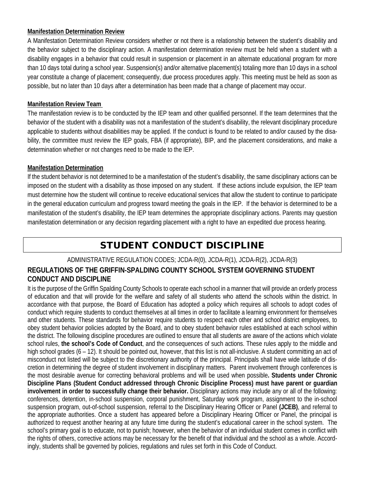#### **Manifestation Determination Review**

A Manifestation Determination Review considers whether or not there is a relationship between the student's disability and the behavior subject to the disciplinary action. A manifestation determination review must be held when a student with a disability engages in a behavior that could result in suspension or placement in an alternate educational program for more than 10 days total during a school year. Suspension(s) and/or alternative placement(s) totaling more than 10 days in a school year constitute a change of placement; consequently, due process procedures apply. This meeting must be held as soon as possible, but no later than 10 days after a determination has been made that a change of placement may occur.

#### **Manifestation Review Team**

The manifestation review is to be conducted by the IEP team and other qualified personnel. If the team determines that the behavior of the student with a disability was not a manifestation of the student's disability, the relevant disciplinary procedure applicable to students without disabilities may be applied. If the conduct is found to be related to and/or caused by the disability, the committee must review the IEP goals, FBA (if appropriate), BIP, and the placement considerations, and make a determination whether or not changes need to be made to the IEP.

#### **Manifestation Determination**

If the student behavior is not determined to be a manifestation of the student's disability, the same disciplinary actions can be imposed on the student with a disability as those imposed on any student. If these actions include expulsion, the IEP team must determine how the student will continue to receive educational services that allow the student to continue to participate in the general education curriculum and progress toward meeting the goals in the IEP. If the behavior is determined to be a manifestation of the student's disability, the IEP team determines the appropriate disciplinary actions. Parents may question manifestation determination or any decision regarding placement with a right to have an expedited due process hearing.

# STUDENT CONDUCT DISCIPLINE

#### ADMINISTRATIVE REGULATION CODES; JCDA-R(0), JCDA-R(1), JCDA-R(2), JCDA-R(3)

### **REGULATIONS OF THE GRIFFIN-SPALDING COUNTY SCHOOL SYSTEM GOVERNING STUDENT CONDUCT AND DISCIPLINE**

It is the purpose of the Griffin Spalding County Schools to operate each school in a manner that will provide an orderly process of education and that will provide for the welfare and safety of all students who attend the schools within the district. In accordance with that purpose, the Board of Education has adopted a policy which requires all schools to adopt codes of conduct which require students to conduct themselves at all times in order to facilitate a learning environment for themselves and other students. These standards for behavior require students to respect each other and school district employees, to obey student behavior policies adopted by the Board, and to obey student behavior rules established at each school within the district. The following discipline procedures are outlined to ensure that all students are aware of the actions which violate school rules, **the school's Code of Conduct**, and the consequences of such actions. These rules apply to the middle and high school grades (6 – 12). It should be pointed out, however, that this list is not all-inclusive. A student committing an act of misconduct not listed will be subject to the discretionary authority of the principal. Principals shall have wide latitude of discretion in determining the degree of student involvement in disciplinary matters. Parent involvement through conferences is the most desirable avenue for correcting behavioral problems and will be used when possible**. Students under Chronic Discipline Plans (Student Conduct addressed through Chronic Discipline Process) must have parent or guardian involvement in order to successfully change their behavior.** Disciplinary actions may include any or all of the following: conferences, detention, in-school suspension, corporal punishment, Saturday work program, assignment to the in-school suspension program, out-of-school suspension, referral to the Disciplinary Hearing Officer or Panel **(JCEB)**, and referral to the appropriate authorities. Once a student has appeared before a Disciplinary Hearing Officer or Panel, the principal is authorized to request another hearing at any future time during the student's educational career in the school system. The school's primary goal is to educate, not to punish; however, when the behavior of an individual student comes in conflict with the rights of others, corrective actions may be necessary for the benefit of that individual and the school as a whole. Accordingly, students shall be governed by policies, regulations and rules set forth in this Code of Conduct.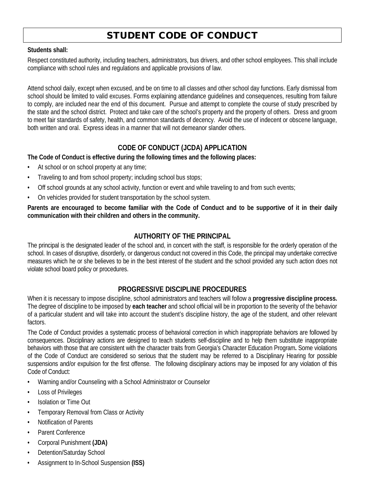# STUDENT CODE OF CONDUCT

#### **Students shall:**

Respect constituted authority, including teachers, administrators, bus drivers, and other school employees. This shall include compliance with school rules and regulations and applicable provisions of law.

Attend school daily, except when excused, and be on time to all classes and other school day functions. Early dismissal from school should be limited to valid excuses. Forms explaining attendance guidelines and consequences, resulting from failure to comply, are included near the end of this document. Pursue and attempt to complete the course of study prescribed by the state and the school district. Protect and take care of the school's property and the property of others. Dress and groom to meet fair standards of safety, health, and common standards of decency. Avoid the use of indecent or obscene language, both written and oral. Express ideas in a manner that will not demeanor slander others.

## **CODE OF CONDUCT (JCDA) APPLICATION**

**The Code of Conduct is effective during the following times and the following places:**

- At school or on school property at any time;
- Traveling to and from school property; including school bus stops;
- Off school grounds at any school activity, function or event and while traveling to and from such events;
- On vehicles provided for student transportation by the school system.

**Parents are encouraged to become familiar with the Code of Conduct and to be supportive of it in their daily communication with their children and others in the community.**

## **AUTHORITY OF THE PRINCIPAL**

The principal is the designated leader of the school and, in concert with the staff, is responsible for the orderly operation of the school. In cases of disruptive, disorderly, or dangerous conduct not covered in this Code, the principal may undertake corrective measures which he or she believes to be in the best interest of the student and the school provided any such action does not violate school board policy or procedures.

## **PROGRESSIVE DISCIPLINE PROCEDURES**

When it is necessary to impose discipline, school administrators and teachers will follow a **progressive discipline process.**  The degree of discipline to be imposed by **each teacher** and school official will be in proportion to the severity of the behavior of a particular student and will take into account the student's discipline history, the age of the student, and other relevant factors.

The Code of Conduct provides a systematic process of behavioral correction in which inappropriate behaviors are followed by consequences. Disciplinary actions are designed to teach students self-discipline and to help them substitute inappropriate behaviors with those that are consistent with the character traits from Georgia's Character Education Program**.** Some violations of the Code of Conduct are considered so serious that the student may be referred to a Disciplinary Hearing for possible suspensions and/or expulsion for the first offense. The following disciplinary actions may be imposed for any violation of this Code of Conduct:

- Warning and/or Counseling with a School Administrator or Counselor
- Loss of Privileges
- Isolation or Time Out
- Temporary Removal from Class or Activity
- Notification of Parents
- Parent Conference
- Corporal Punishment **(JDA)**
- Detention/Saturday School
- Assignment to In-School Suspension **(ISS)**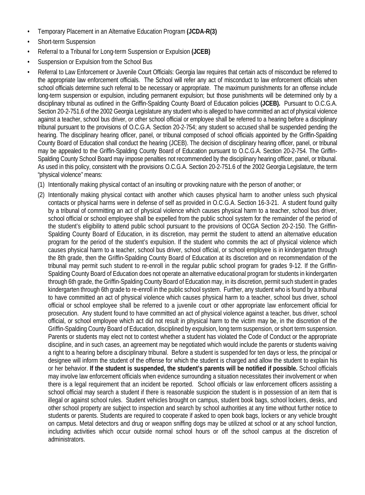- Temporary Placement in an Alternative Education Program **(JCDA-R(3)**
- Short-term Suspension
- Referral to a Tribunal for Long-term Suspension or Expulsion **(JCEB)**
- Suspension or Expulsion from the School Bus
- Referral to Law Enforcement or Juvenile Court Officials: Georgia law requires that certain acts of misconduct be referred to the appropriate law enforcement officials. The School will refer any act of misconduct to law enforcement officials when school officials determine such referral to be necessary or appropriate. The maximum punishments for an offense include long-term suspension or expulsion, including permanent expulsion; but those punishments will be determined only by a disciplinary tribunal as outlined in the Griffin-Spalding County Board of Education policies **(JCEB).** Pursuant to O.C.G.A. Section 20-2-751.6 of the 2002 Georgia Legislature any student who is alleged to have committed an act of physical violence against a teacher, school bus driver, or other school official or employee shall be referred to a hearing before a disciplinary tribunal pursuant to the provisions of O.C.G.A. Section 20-2-754; any student so accused shall be suspended pending the hearing. The disciplinary hearing officer, panel, or tribunal composed of school officials appointed by the Griffin-Spalding County Board of Education shall conduct the hearing (JCEB). The decision of disciplinary hearing officer, panel, or tribunal may be appealed to the Griffin-Spalding County Board of Education pursuant to O.C.G.A. Section 20-2-754. The Griffin-Spalding County School Board may impose penalties not recommended by the disciplinary hearing officer, panel, or tribunal. As used in this policy, consistent with the provisions O.C.G.A. Section 20-2-751.6 of the 2002 Georgia Legislature, the term "physical violence" means:
	- (1) Intentionally making physical contact of an insulting or provoking nature with the person of another; or
	- (2) Intentionally making physical contact with another which causes physical harm to another unless such physical contacts or physical harms were in defense of self as provided in O.C.G.A. Section 16-3-21. A student found guilty by a tribunal of committing an act of physical violence which causes physical harm to a teacher, school bus driver, school official or school employee shall be expelled from the public school system for the remainder of the period of the student's eligibility to attend public school pursuant to the provisions of OCGA Section 20-2-150. The Griffin-Spalding County Board of Education, in its discretion, may permit the student to attend an alternative education program for the period of the student's expulsion. If the student who commits the act of physical violence which causes physical harm to a teacher, school bus driver, school official, or school employee is in kindergarten through the 8th grade, then the Griffin-Spalding County Board of Education at its discretion and on recommendation of the tribunal may permit such student to re-enroll in the regular public school program for grades 9-12. If the Griffin-Spalding County Board of Education does not operate an alternative educational program for students in kindergarten through 6th grade, the Griffin-Spalding County Board of Education may, in its discretion, permit such student in grades kindergarten through 6th grade to re-enroll in the public school system. Further, any student who is found by a tribunal to have committed an act of physical violence which causes physical harm to a teacher, school bus driver, school official or school employee shall be referred to a juvenile court or other appropriate law enforcement official for prosecution. Any student found to have committed an act of physical violence against a teacher, bus driver, school official, or school employee which act did not result in physical harm to the victim may be, in the discretion of the Griffin-Spalding County Board of Education, disciplined by expulsion, long term suspension, or short term suspension. Parents or students may elect not to contest whether a student has violated the Code of Conduct or the appropriate discipline, and in such cases, an agreement may be negotiated which would include the parents or students waiving a right to a hearing before a disciplinary tribunal. Before a student is suspended for ten days or less, the principal or designee will inform the student of the offense for which the student is charged and allow the student to explain his or her behavior. **If the student is suspended, the student's parents will be notified if possible.** School officials may involve law enforcement officials when evidence surrounding a situation necessitates their involvement or when there is a legal requirement that an incident be reported. School officials or law enforcement officers assisting a school official may search a student if there is reasonable suspicion the student is in possession of an item that is illegal or against school rules. Student vehicles brought on campus, student book bags, school lockers, desks, and other school property are subject to inspection and search by school authorities at any time without further notice to students or parents. Students are required to cooperate if asked to open book bags, lockers or any vehicle brought on campus. Metal detectors and drug or weapon sniffing dogs may be utilized at school or at any school function, including activities which occur outside normal school hours or off the school campus at the discretion of administrators.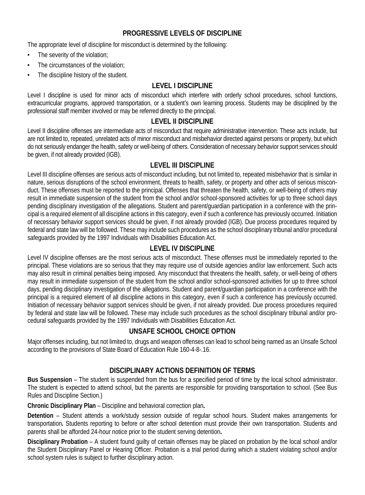### **PROGRESSIVE LEVELS OF DISCIPLINE**

The appropriate level of discipline for misconduct is determined by the following:

- The severity of the violation;
- The circumstances of the violation;
- The discipline history of the student.

#### **LEVEL I DISCIPLINE**

Level I discipline is used for minor acts of misconduct which interfere with orderly school procedures, school functions, extracurricular programs, approved transportation, or a student's own learning process. Students may be disciplined by the professional staff member involved or may be referred directly to the principal.

#### **LEVEL II DISCIPLINE**

Level II discipline offenses are intermediate acts of misconduct that require administrative intervention. These acts include, but are not limited to, repeated, unrelated acts of minor misconduct and misbehavior directed against persons or property, but which do not seriously endanger the health, safety or well-being of others. Consideration of necessary behavior support services should be given, if not already provided (IGB).

#### **LEVEL III DISCIPLINE**

Level III discipline offenses are serious acts of misconduct including, but not limited to, repeated misbehavior that is similar in nature, serious disruptions of the school environment, threats to health, safety, or property and other acts of serious misconduct. These offenses must be reported to the principal. Offenses that threaten the health, safety, or well-being of others may result in immediate suspension of the student from the school and/or school-sponsored activities for up to three school days pending disciplinary investigation of the allegations. Student and parent/guardian participation in a conference with the principal is a required element of all discipline actions in this category, even if such a conference has previously occurred. Initiation of necessary behavior support services should be given, if not already provided (IGB). Due process procedures required by federal and state law will be followed. These may include such procedures as the school disciplinary tribunal and/or procedural safeguards provided by the 1997 Individuals with Disabilities Education Act.

#### **LEVEL IV DISCIPLINE**

Level IV discipline offenses are the most serious acts of misconduct. These offenses must be immediately reported to the principal. These violations are so serious that they may require use of outside agencies and/or law enforcement. Such acts may also result in criminal penalties being imposed. Any misconduct that threatens the health, safety, or well-being of others may result in immediate suspension of the student from the school and/or school-sponsored activities for up to three school days, pending disciplinary investigation of the allegations. Student and parent/guardian participation in a conference with the principal is a required element of all discipline actions in this category, even if such a conference has previously occurred. Initiation of necessary behavior support services should be given, if not already provided. Due process procedures required by federal and state law will be followed. These may include such procedures as the school disciplinary tribunal and/or procedural safeguards provided by the 1997 Individuals with Disabilities Education Act.

## **UNSAFE SCHOOL CHOICE OPTION**

Major offenses including, but not limited to, drugs and weapon offenses can lead to school being named as an Unsafe School according to the provisions of State Board of Education Rule 160-4-8-.16.

## **DISCIPLINARY ACTIONS DEFINITION OF TERMS**

**Bus Suspension** – The student is suspended from the bus for a specified period of time by the local school administrator. The student is expected to attend school, but the parents are responsible for providing transportation to school. (See Bus Rules and Discipline Section.)

**Chronic Disciplinary Plan** – Discipline and behavioral correction plan**.**

**Detention** – Student attends a work/study session outside of regular school hours. Student makes arrangements for transportation**.** Students reporting to before or after school detention must provide their own transportation. Students and parents shall be afforded 24-hour notice prior to the student serving detention**.**

**Disciplinary Probation** – A student found guilty of certain offenses may be placed on probation by the local school and/or the Student Disciplinary Panel or Hearing Officer. Probation is a trial period during which a student violating school and/or school system rules is subject to further disciplinary action.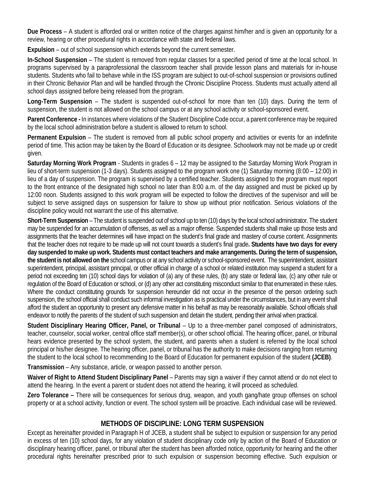**Due Process** – A student is afforded oral or written notice of the charges against him/her and is given an opportunity for a review, hearing or other procedural rights in accordance with state and federal laws.

**Expulsion** – out of school suspension which extends beyond the current semester.

**In-School Suspension** – The student is removed from regular classes for a specified period of time at the local school. In programs supervised by a paraprofessional the classroom teacher shall provide lesson plans and materials for in-house students. Students who fail to behave while in the ISS program are subject to out-of-school suspension or provisions outlined in their Chronic Behavior Plan and will be handled through the Chronic Discipline Process. Students must actually attend all school days assigned before being released from the program.

**Long-Term Suspension** – The student is suspended out-of-school for more than ten (10) days. During the term of suspension, the student is not allowed on the school campus or at any school activity or school-sponsored event.

**Parent Conference -** In instances where violations of the Student Discipline Code occur, a parent conference may be required by the local school administration before a student is allowed to return to school.

**Permanent Expulsion** – The student is removed from all public school property and activities or events for an indefinite period of time. This action may be taken by the Board of Education or its designee. Schoolwork may not be made up or credit given.

**Saturday Morning Work Program** - Students in grades 6 – 12 may be assigned to the Saturday Morning Work Program in lieu of short-term suspension (1-3 days). Students assigned to the program work one (1) Saturday morning (8:00 – 12:00) in lieu of a day of suspension. The program is supervised by a certified teacher. Students assigned to the program must report to the front entrance of the designated high school no later than 8:00 a.m. of the day assigned and must be picked up by 12:00 noon. Students assigned to this work program will be expected to follow the directives of the supervisor and will be subject to serve assigned days on suspension for failure to show up without prior notification. Serious violations of the discipline policy would not warrant the use of this alternative.

**Short-Term Suspension** – The student is suspended out of school up to ten (10) days by the local school administrator. The student may be suspended for an accumulation of offenses, as well as a major offense. Suspended students shall make up those tests and assignments that the teacher determines will have impact on the student's final grade and mastery of course content. Assignments that the teacher does not require to be made up will not count towards a student's final grade**. Students have two days for every day suspended to make up work. Students must contact teachers and make arrangements. During the term of suspension, the student is not allowed on the** school campus or at any school activity or school-sponsored event. The superintendent, assistant superintendent, principal, assistant principal, or other official in charge of a school or related institution may suspend a student for a period not exceeding ten (10) school days for violation of (a) any of these rules, (b) any state or federal law, (c) any other rule or regulation of the Board of Education or school, or (d) any other act constituting misconduct similar to that enumerated in these rules. Where the conduct constituting grounds for suspension hereunder did not occur in the presence of the person ordering such suspension, the school official shall conduct such informal investigation as is practical under the circumstances, but in any event shall afford the student an opportunity to present any defensive matter in his behalf as may be reasonably available. School officials shall endeavor to notify the parents of the student of such suspension and detain the student, pending their arrival when practical.

**Student Disciplinary Hearing Officer, Panel, or Tribunal** – Up to a three-member panel composed of administrators, teacher, counselor, social worker, central office staff member(s), or other school official. The hearing officer, panel, or tribunal hears evidence presented by the school system, the student, and parents when a student is referred by the local school principal or his/her designee. The hearing officer, panel, or tribunal has the authority to make decisions ranging from returning the student to the local school to recommending to the Board of Education for permanent expulsion of the student **(JCEB)**.

**Transmission** – Any substance, article, or weapon passed to another person.

**Waiver of Right to Attend Student Disciplinary Panel** – Parents may sign a waiver if they cannot attend or do not elect to attend the hearing. In the event a parent or student does not attend the hearing, it will proceed as scheduled.

**Zero Tolerance –** There will be consequences for serious drug, weapon, and youth gang/hate group offenses on school property or at a school activity, function or event. The school system will be proactive. Each individual case will be reviewed.

#### **METHODS OF DISCIPLINE: LONG TERM SUSPENSION**

Except as hereinafter provided in Paragraph H of JCEB, a student shall be subject to expulsion or suspension for any period in excess of ten (10) school days, for any violation of student disciplinary code only by action of the Board of Education or disciplinary hearing officer, panel, or tribunal after the student has been afforded notice, opportunity for hearing and the other procedural rights hereinafter prescribed prior to such expulsion or suspension becoming effective. Such expulsion or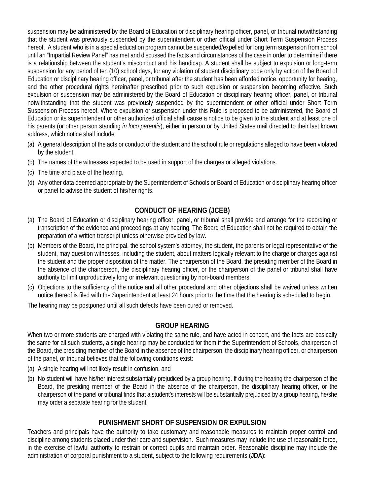suspension may be administered by the Board of Education or disciplinary hearing officer, panel, or tribunal notwithstanding that the student was previously suspended by the superintendent or other official under Short Term Suspension Process hereof. A student who is in a special education program cannot be suspended/expelled for long term suspension from school until an "Impartial Review Panel" has met and discussed the facts and circumstances of the case in order to determine if there is a relationship between the student's misconduct and his handicap. A student shall be subject to expulsion or long-term suspension for any period of ten (10) school days, for any violation of student disciplinary code only by action of the Board of Education or disciplinary hearing officer, panel, or tribunal after the student has been afforded notice, opportunity for hearing, and the other procedural rights hereinafter prescribed prior to such expulsion or suspension becoming effective. Such expulsion or suspension may be administered by the Board of Education or disciplinary hearing officer, panel, or tribunal notwithstanding that the student was previously suspended by the superintendent or other official under Short Term Suspension Process hereof. Where expulsion or suspension under this Rule is proposed to be administered, the Board of Education or its superintendent or other authorized official shall cause a notice to be given to the student and at least one of his parents (or other person standing *in loco parentis*), either in person or by United States mail directed to their last known address, which notice shall include:

- (a) A general description of the acts or conduct of the student and the school rule or regulations alleged to have been violated by the student.
- (b) The names of the witnesses expected to be used in support of the charges or alleged violations.
- (c) The time and place of the hearing.
- (d) Any other data deemed appropriate by the Superintendent of Schools or Board of Education or disciplinary hearing officer or panel to advise the student of his/her rights.

### **CONDUCT OF HEARING (JCEB)**

- (a) The Board of Education or disciplinary hearing officer, panel, or tribunal shall provide and arrange for the recording or transcription of the evidence and proceedings at any hearing. The Board of Education shall not be required to obtain the preparation of a written transcript unless otherwise provided by law.
- (b) Members of the Board, the principal, the school system's attorney, the student, the parents or legal representative of the student, may question witnesses, including the student, about matters logically relevant to the charge or charges against the student and the proper disposition of the matter. The chairperson of the Board, the presiding member of the Board in the absence of the chairperson, the disciplinary hearing officer, or the chairperson of the panel or tribunal shall have authority to limit unproductively long or irrelevant questioning by non-board members.
- (c) Objections to the sufficiency of the notice and all other procedural and other objections shall be waived unless written notice thereof is filed with the Superintendent at least 24 hours prior to the time that the hearing is scheduled to begin.

The hearing may be postponed until all such defects have been cured or removed.

#### **GROUP HEARING**

When two or more students are charged with violating the same rule, and have acted in concert, and the facts are basically the same for all such students, a single hearing may be conducted for them if the Superintendent of Schools, chairperson of the Board, the presiding member of the Board in the absence of the chairperson, the disciplinary hearing officer, or chairperson of the panel, or tribunal believes that the following conditions exist:

- (a) A single hearing will not likely result in confusion, and
- (b) No student will have his/her interest substantially prejudiced by a group hearing. If during the hearing the chairperson of the Board, the presiding member of the Board in the absence of the chairperson, the disciplinary hearing officer, or the chairperson of the panel or tribunal finds that a student's interests will be substantially prejudiced by a group hearing, he/she may order a separate hearing for the student.

#### **PUNISHMENT SHORT OF SUSPENSION OR EXPULSION**

Teachers and principals have the authority to take customary and reasonable measures to maintain proper control and discipline among students placed under their care and supervision. Such measures may include the use of reasonable force, in the exercise of lawful authority to restrain or correct pupils and maintain order. Reasonable discipline may include the administration of corporal punishment to a student, subject to the following requirements **(JDA)**: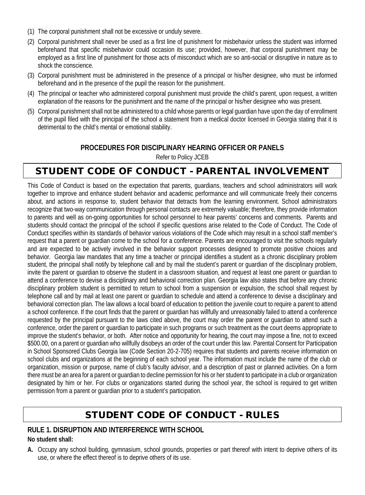- (1) The corporal punishment shall not be excessive or unduly severe.
- (2) Corporal punishment shall never be used as a first line of punishment for misbehavior unless the student was informed beforehand that specific misbehavior could occasion its use; provided, however, that corporal punishment may be employed as a first line of punishment for those acts of misconduct which are so anti-social or disruptive in nature as to shock the conscience.
- (3) Corporal punishment must be administered in the presence of a principal or his/her designee, who must be informed beforehand and in the presence of the pupil the reason for the punishment.
- (4) The principal or teacher who administered corporal punishment must provide the child's parent, upon request, a written explanation of the reasons for the punishment and the name of the principal or his/her designee who was present.
- (5) Corporal punishment shall not be administered to a child whose parents or legal guardian have upon the day of enrollment of the pupil filed with the principal of the school a statement from a medical doctor licensed in Georgia stating that it is detrimental to the child's mental or emotional stability.

### **PROCEDURES FOR DISCIPLINARY HEARING OFFICER OR PANELS**

Refer to Policy JCEB

# STUDENT CODE OF CONDUCT - PARENTAL INVOLVEMENT

This Code of Conduct is based on the expectation that parents, guardians, teachers and school administrators will work together to improve and enhance student behavior and academic performance and will communicate freely their concerns about, and actions in response to, student behavior that detracts from the learning environment. School administrators recognize that two-way communication through personal contacts are extremely valuable; therefore, they provide information to parents and well as on-going opportunities for school personnel to hear parents' concerns and comments. Parents and students should contact the principal of the school if specific questions arise related to the Code of Conduct. The Code of Conduct specifies within its standards of behavior various violations of the Code which may result in a school staff member's request that a parent or guardian come to the school for a conference. Parents are encouraged to visit the schools regularly and are expected to be actively involved in the behavior support processes designed to promote positive choices and behavior. Georgia law mandates that any time a teacher or principal identifies a student as a chronic disciplinary problem student, the principal shall notify by telephone call and by mail the student's parent or guardian of the disciplinary problem, invite the parent or guardian to observe the student in a classroom situation, and request at least one parent or guardian to attend a conference to devise a disciplinary and behavioral correction plan. Georgia law also states that before any chronic disciplinary problem student is permitted to return to school from a suspension or expulsion, the school shall request by telephone call and by mail at least one parent or guardian to schedule and attend a conference to devise a disciplinary and behavioral correction plan. The law allows a local board of education to petition the juvenile court to require a parent to attend a school conference. If the court finds that the parent or guardian has willfully and unreasonably failed to attend a conference requested by the principal pursuant to the laws cited above, the court may order the parent or guardian to attend such a conference, order the parent or guardian to participate in such programs or such treatment as the court deems appropriate to improve the student's behavior, or both. After notice and opportunity for hearing, the court may impose a fine, not to exceed \$500.00, on a parent or guardian who willfully disobeys an order of the court under this law. Parental Consent for Participation in School Sponsored Clubs Georgia law (Code Section 20-2-705) requires that students and parents receive information on school clubs and organizations at the beginning of each school year. The information must include the name of the club or organization, mission or purpose, name of club's faculty advisor, and a description of past or planned activities. On a form there must be an area for a parent or guardian to decline permission for his or her student to participate in a club or organization designated by him or her. For clubs or organizations started during the school year, the school is required to get written permission from a parent or guardian prior to a student's participation.

# STUDENT CODE OF CONDUCT - RULES

## **RULE 1. DISRUPTION AND INTERFERENCE WITH SCHOOL**

#### **No student shall:**

**A.** Occupy any school building, gymnasium, school grounds, properties or part thereof with intent to deprive others of its use, or where the effect thereof is to deprive others of its use.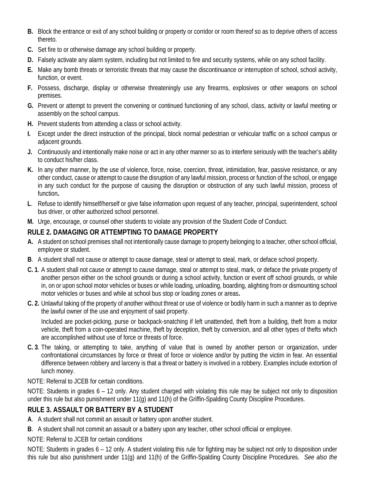- **B.** Block the entrance or exit of any school building or property or corridor or room thereof so as to deprive others of access thereto.
- **C.** Set fire to or otherwise damage any school building or property.
- **D.** Falsely activate any alarm system, including but not limited to fire and security systems, while on any school facility.
- **E.** Make any bomb threats or terroristic threats that may cause the discontinuance or interruption of school, school activity, function, or event.
- **F.** Possess, discharge, display or otherwise threateningly use any firearms, explosives or other weapons on school premises.
- **G.** Prevent or attempt to prevent the convening or continued functioning of any school, class, activity or lawful meeting or assembly on the school campus.
- **H.** Prevent students from attending a class or school activity.
- **I.** Except under the direct instruction of the principal, block normal pedestrian or vehicular traffic on a school campus or adjacent grounds.
- **J.** Continuously and intentionally make noise or act in any other manner so as to interfere seriously with the teacher's ability to conduct his/her class.
- **K.** In any other manner, by the use of violence, force, noise, coercion, threat, intimidation, fear, passive resistance, or any other conduct, cause or attempt to cause the disruption of any lawful mission, process or function of the school, or engage in any such conduct for the purpose of causing the disruption or obstruction of any such lawful mission, process of function**.**
- **L**. Refuse to identify himself/herself or give false information upon request of any teacher, principal, superintendent, school bus driver, or other authorized school personnel.
- **M.** Urge, encourage, or counsel other students to violate any provision of the Student Code of Conduct.

## **RULE 2. DAMAGING OR ATTEMPTING TO DAMAGE PROPERTY**

- **A.** A student on school premises shall not intentionally cause damage to property belonging to a teacher, other school official, employee or student.
- **B**. A student shall not cause or attempt to cause damage, steal or attempt to steal, mark, or deface school property.
- **C. 1**. A student shall not cause or attempt to cause damage, steal or attempt to steal, mark, or deface the private property of another person either on the school grounds or during a school activity, function or event off school grounds, or while in, on or upon school motor vehicles or buses or while loading, unloading, boarding, alighting from or dismounting school motor vehicles or buses and while at school bus stop or loading zones or areas**.**
- **C. 2.** Unlawful taking of the property of another without threat or use of violence or bodily harm in such a manner as to deprive the lawful owner of the use and enjoyment of said property.

Included are pocket-picking, purse or backpack-snatching if left unattended, theft from a building, theft from a motor vehicle, theft from a coin-operated machine, theft by deception, theft by conversion, and all other types of thefts which are accomplished without use of force or threats of force.

- **C. 3**. The taking, or attempting to take, anything of value that is owned by another person or organization, under confrontational circumstances by force or threat of force or violence and/or by putting the victim in fear. An essential difference between robbery and larceny is that a threat or battery is involved in a robbery. Examples include extortion of lunch money.
- NOTE: Referral to JCEB for certain conditions.

NOTE: Students in grades 6 – 12 only. Any student charged with violating this rule may be subject not only to disposition under this rule but also punishment under 11(g) and 11(h) of the Griffin-Spalding County Discipline Procedures.

## **RULE 3. ASSAULT OR BATTERY BY A STUDENT**

**A**. A student shall not commit an assault or battery upon another student.

**B**. A student shall not commit an assault or a battery upon any teacher, other school official or employee.

NOTE: Referral to JCEB for certain conditions

NOTE: Students in grades 6 – 12 only. A student violating this rule for fighting may be subject not only to disposition under this rule but also punishment under 11(g) and 11(h) of the Griffin-Spalding County Discipline Procedures. *See also the*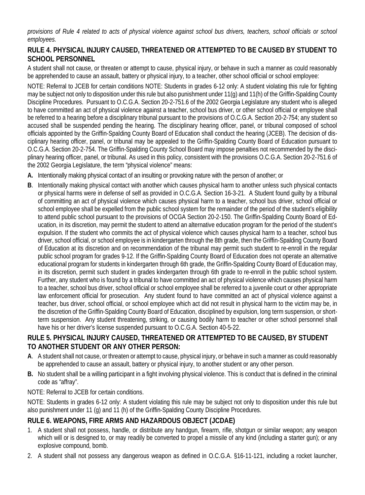*provisions of Rule 4 related to acts of physical violence against school bus drivers, teachers, school officials or school employees.*

## **RULE 4. PHYSICAL INJURY CAUSED, THREATENED OR ATTEMPTED TO BE CAUSED BY STUDENT TO SCHOOL PERSONNEL**

A student shall not cause, or threaten or attempt to cause, physical injury, or behave in such a manner as could reasonably be apprehended to cause an assault, battery or physical injury, to a teacher, other school official or school employee:

NOTE: Referral to JCEB for certain conditions NOTE: Students in grades 6-12 only: A student violating this rule for fighting may be subject not only to disposition under this rule but also punishment under 11(g) and 11(h) of the Griffin-Spalding County Discipline Procedures. Pursuant to O.C.G.A. Section 20-2-751.6 of the 2002 Georgia Legislature any student who is alleged to have committed an act of physical violence against a teacher, school bus driver, or other school official or employee shall be referred to a hearing before a disciplinary tribunal pursuant to the provisions of O.C.G.A. Section 20-2-754; any student so accused shall be suspended pending the hearing. The disciplinary hearing officer, panel, or tribunal composed of school officials appointed by the Griffin-Spalding County Board of Education shall conduct the hearing (JCEB). The decision of disciplinary hearing officer, panel, or tribunal may be appealed to the Griffin-Spalding County Board of Education pursuant to O.C.G.A. Section 20-2-754. The Griffin-Spalding County School Board may impose penalties not recommended by the disciplinary hearing officer, panel, or tribunal. As used in this policy, consistent with the provisions O.C.G.A. Section 20-2-751.6 of the 2002 Georgia Legislature, the term "physical violence" means:

- **A.** Intentionally making physical contact of an insulting or provoking nature with the person of another; or
- **B**. Intentionally making physical contact with another which causes physical harm to another unless such physical contacts or physical harms were in defense of self as provided in O.C.G.A. Section 16-3-21. A Student found guilty by a tribunal of committing an act of physical violence which causes physical harm to a teacher, school bus driver, school official or school employee shall be expelled from the public school system for the remainder of the period of the student's eligibility to attend public school pursuant to the provisions of OCGA Section 20-2-150. The Griffin-Spalding County Board of Education, in its discretion, may permit the student to attend an alternative education program for the period of the student's expulsion. If the student who commits the act of physical violence which causes physical harm to a teacher, school bus driver, school official, or school employee is in kindergarten through the 8th grade, then the Griffin-Spalding County Board of Education at its discretion and on recommendation of the tribunal may permit such student to re-enroll in the regular public school program for grades 9-12. If the Griffin-Spalding County Board of Education does not operate an alternative educational program for students in kindergarten through 6th grade, the Griffin-Spalding County Board of Education may, in its discretion, permit such student in grades kindergarten through 6th grade to re-enroll in the public school system. Further, any student who is found by a tribunal to have committed an act of physical violence which causes physical harm to a teacher, school bus driver, school official or school employee shall be referred to a juvenile court or other appropriate law enforcement official for prosecution. Any student found to have committed an act of physical violence against a teacher, bus driver, school official, or school employee which act did not result in physical harm to the victim may be, in the discretion of the Griffin-Spalding County Board of Education, disciplined by expulsion, long term suspension, or shortterm suspension. Any student threatening, striking, or causing bodily harm to teacher or other school personnel shall have his or her driver's license suspended pursuant to O.C.G.A. Section 40-5-22.

### **RULE 5. PHYSICAL INJURY CAUSED, THREATENED OR ATTEMPTED TO BE CAUSED, BY STUDENT TO ANOTHER STUDENT OR ANY OTHER PERSON:**

- **A**. A student shall not cause, or threaten or attempt to cause, physical injury, or behave in such a manner as could reasonably be apprehended to cause an assault, battery or physical injury, to another student or any other person.
- **B.** No student shall be a willing participant in a fight involving physical violence. This is conduct that is defined in the criminal code as "affray".
- NOTE: Referral to JCEB for certain conditions.

NOTE: Students in grades 6-12 only: A student violating this rule may be subject not only to disposition under this rule but also punishment under 11 (g) and 11 (h) of the Griffin-Spalding County Discipline Procedures.

## **RULE 6. WEAPONS, FIRE ARMS AND HAZARDOUS OBJECT (JCDAE)**

- 1. A student shall not possess, handle, or distribute any handgun, firearm, rifle, shotgun or similar weapon; any weapon which will or is designed to, or may readily be converted to propel a missile of any kind (including a starter gun); or any explosive compound, bomb.
- 2. A student shall not possess any dangerous weapon as defined in O.C.G.A. §16-11-121, including a rocket launcher,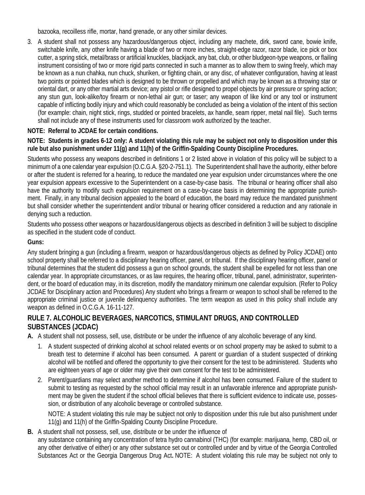bazooka, recoilless rifle, mortar, hand grenade, or any other similar devices.

3. A student shall not possess any hazardous/dangerous object, including any machete, dirk, sword cane, bowie knife, switchable knife, any other knife having a blade of two or more inches, straight-edge razor, razor blade, ice pick or box cutter, a spring stick, metal/brass or artificial knuckles, blackjack, any bat, club, or other bludgeon-type weapons, or flailing instrument consisting of two or more rigid parts connected in such a manner as to allow them to swing freely, which may be known as a nun chahka, nun chuck, shuriken, or fighting chain, or any disc, of whatever configuration, having at least two points or pointed blades which is designed to be thrown or propelled and which may be known as a throwing star or oriental dart, or any other martial arts device; any pistol or rifle designed to propel objects by air pressure or spring action; any stun gun, look-alike/toy firearm or non-lethal air gun; or taser; any weapon of like kind or any tool or instrument capable of inflicting bodily injury and which could reasonably be concluded as being a violation of the intent of this section (for example: chain, night stick, rings, studded or pointed bracelets, ax handle, seam ripper, metal nail file). Such terms shall not include any of these instruments used for classroom work authorized by the teacher.

### **NOTE: Referral to JCDAE for certain conditions.**

#### **NOTE: Students in grades 6-12 only: A student violating this rule may be subject not only to disposition under this rule but also punishment under 11(g) and 11(h) of the Griffin-Spalding County Discipline Procedures.**

Students who possess any weapons described in definitions 1 or 2 listed above in violation of this policy will be subject to a minimum of a one calendar year expulsion (O.C.G.A. §20-2-751.1). The Superintendent shall have the authority, either before or after the student is referred for a hearing, to reduce the mandated one year expulsion under circumstances where the one year expulsion appears excessive to the Superintendent on a case-by-case basis. The tribunal or hearing officer shall also have the authority to modify such expulsion requirement on a case-by-case basis in determining the appropriate punishment. Finally, in any tribunal decision appealed to the board of education, the board may reduce the mandated punishment but shall consider whether the superintendent and/or tribunal or hearing officer considered a reduction and any rationale in denying such a reduction.

Students who possess other weapons or hazardous/dangerous objects as described in definition 3 will be subject to discipline as specified in the student code of conduct.

### **Guns:**

Any student bringing a gun (including a firearm, weapon or hazardous/dangerous objects as defined by Policy JCDAE) onto school property shall be referred to a disciplinary hearing officer, panel, or tribunal. If the disciplinary hearing officer, panel or tribunal determines that the student did possess a gun on school grounds, the student shall be expelled for not less than one calendar year. In appropriate circumstances, or as law requires, the hearing officer, tribunal, panel, administrator, superintendent, or the board of education may, in its discretion, modify the mandatory minimum one calendar expulsion. (Refer to Policy JCDAE for Disciplinary action and Procedures) Any student who brings a firearm or weapon to school shall be referred to the appropriate criminal justice or juvenile delinquency authorities. The term weapon as used in this policy shall include any weapon as defined in O.C.G.A. 16-11-127.

### **RULE 7. ALCOHOLIC BEVERAGES, NARCOTICS, STIMULANT DRUGS, AND CONTROLLED SUBSTANCES (JCDAC)**

**A.** A student shall not possess, sell, use, distribute or be under the influence of any alcoholic beverage of any kind.

- 1. A student suspected of drinking alcohol at school related events or on school property may be asked to submit to a breath test to determine if alcohol has been consumed. A parent or guardian of a student suspected of drinking alcohol will be notified and offered the opportunity to give their consent for the test to be administered. Students who are eighteen years of age or older may give their own consent for the test to be administered.
- 2. Parent/guardians may select another method to determine if alcohol has been consumed. Failure of the student to submit to testing as requested by the school official may result in an unfavorable inference and appropriate punishment may be given the student if the school official believes that there is sufficient evidence to indicate use, possession, or distribution of any alcoholic beverage or controlled substance.

NOTE: A student violating this rule may be subject not only to disposition under this rule but also punishment under 11(g) and 11(h) of the Griffin-Spalding County Discipline Procedure.

**B.** A student shall not possess, sell, use, distribute or be under the influence of

any substance containing any concentration of tetra hydro cannabinol (THC) (for example: marijuana, hemp, CBD oil, or any other derivative of either) or any other substance set out or controlled under and by virtue of the Georgia Controlled Substances Act or the Georgia Dangerous Drug Act**.** NOTE: A student violating this rule may be subject not only to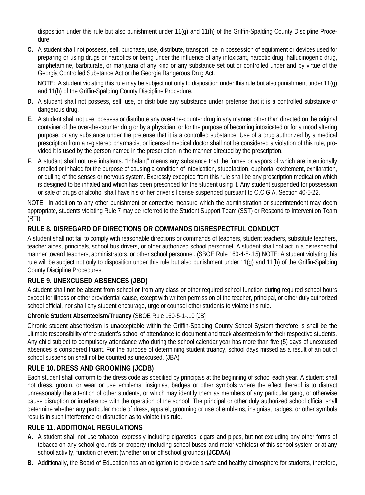disposition under this rule but also punishment under 11(g) and 11(h) of the Griffin-Spalding County Discipline Procedure.

**C.** A student shall not possess, sell, purchase, use, distribute, transport, be in possession of equipment or devices used for preparing or using drugs or narcotics or being under the influence of any intoxicant, narcotic drug, hallucinogenic drug, amphetamine, barbiturate, or marijuana of any kind or any substance set out or controlled under and by virtue of the Georgia Controlled Substance Act or the Georgia Dangerous Drug Act.

NOTE: A student violating this rule may be subject not only to disposition under this rule but also punishment under 11(g) and 11(h) of the Griffin-Spalding County Discipline Procedure.

- **D.** A student shall not possess, sell, use, or distribute any substance under pretense that it is a controlled substance or dangerous drug.
- **E.** A student shall not use, possess or distribute any over-the-counter drug in any manner other than directed on the original container of the over-the-counter drug or by a physician, or for the purpose of becoming intoxicated or for a mood altering purpose, or any substance under the pretense that it is a controlled substance. Use of a drug authorized by a medical prescription from a registered pharmacist or licensed medical doctor shall not be considered a violation of this rule, provided it is used by the person named in the prescription in the manner directed by the prescription.
- **F**. A student shall not use inhalants. "Inhalant" means any substance that the fumes or vapors of which are intentionally smelled or inhaled for the purpose of causing a condition of intoxication, stupefaction, euphoria, excitement, exhilaration, or dulling of the senses or nervous system. Expressly excepted from this rule shall be any prescription medication which is designed to be inhaled and which has been prescribed for the student using it. Any student suspended for possession or sale of drugs or alcohol shall have his or her driver's license suspended pursuant to O.C.G.A. Section 40-5-22.

NOTE: In addition to any other punishment or corrective measure which the administration or superintendent may deem appropriate, students violating Rule 7 may be referred to the Student Support Team (SST) or Respond to Intervention Team (RTI).

## **RULE 8. DISREGARD OF DIRECTIONS OR COMMANDS DISRESPECTFUL CONDUCT**

A student shall not fail to comply with reasonable directions or commands of teachers, student teachers, substitute teachers, teacher aides, principals, school bus drivers, or other authorized school personnel. A student shall not act in a disrespectful manner toward teachers, administrators, or other school personnel. (SBOE Rule 160-4-8-.15) NOTE: A student violating this rule will be subject not only to disposition under this rule but also punishment under 11(g) and 11(h) of the Griffin-Spalding County Discipline Procedures.

## **RULE 9. UNEXCUSED ABSENCES (JBD)**

A student shall not be absent from school or from any class or other required school function during required school hours except for illness or other providential cause, except with written permission of the teacher, principal, or other duly authorized school official, nor shall any student encourage, urge or counsel other students to violate this rule.

#### **Chronic Student Absenteeism/Truancy** (SBOE Rule 160-5-1-.10 [JB]

Chronic student absenteeism is unacceptable within the Griffin-Spalding County School System therefore is shall be the ultimate responsibility of the student's school of attendance to document and track absenteeism for their respective students. Any child subject to compulsory attendance who during the school calendar year has more than five (5) days of unexcused absences is considered truant. For the purpose of determining student truancy, school days missed as a result of an out of school suspension shall not be counted as unexcused. (JBA)

## **RULE 10. DRESS AND GROOMING (JCDB)**

Each student shall conform to the dress code as specified by principals at the beginning of school each year. A student shall not dress, groom, or wear or use emblems, insignias, badges or other symbols where the effect thereof is to distract unreasonably the attention of other students, or which may identify them as members of any particular gang, or otherwise cause disruption or interference with the operation of the school. The principal or other duly authorized school official shall determine whether any particular mode of dress, apparel, grooming or use of emblems, insignias, badges, or other symbols results in such interference or disruption as to violate this rule.

## **RULE 11. ADDITIONAL REGULATIONS**

- **A.** A student shall not use tobacco, expressly including cigarettes, cigars and pipes, but not excluding any other forms of tobacco on any school grounds or property (including school buses and motor vehicles) of this school system or at any school activity, function or event (whether on or off school grounds) **(JCDAA)**.
- **B.** Additionally, the Board of Education has an obligation to provide a safe and healthy atmosphere for students, therefore,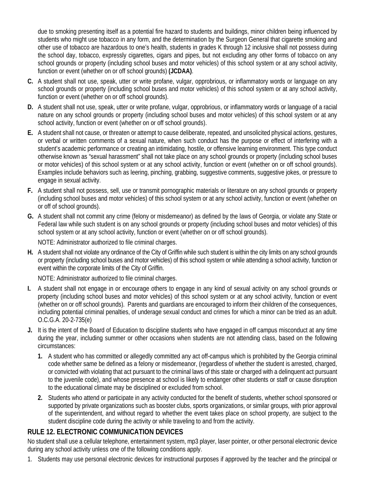due to smoking presenting itself as a potential fire hazard to students and buildings, minor children being influenced by students who might use tobacco in any form, and the determination by the Surgeon General that cigarette smoking and other use of tobacco are hazardous to one's health, students in grades K through 12 inclusive shall not possess during the school day, tobacco, expressly cigarettes, cigars and pipes, but not excluding any other forms of tobacco on any school grounds or property (including school buses and motor vehicles) of this school system or at any school activity, function or event (whether on or off school grounds) **(JCDAA)**.

- **C.** A student shall not use, speak, utter or write profane, vulgar, opprobrious, or inflammatory words or language on any school grounds or property (including school buses and motor vehicles) of this school system or at any school activity, function or event (whether on or off school grounds).
- **D.** A student shall not use, speak, utter or write profane, vulgar, opprobrious, or inflammatory words or language of a racial nature on any school grounds or property (including school buses and motor vehicles) of this school system or at any school activity, function or event (whether on or off school grounds).
- **E.** A student shall not cause, or threaten or attempt to cause deliberate, repeated, and unsolicited physical actions, gestures, or verbal or written comments of a sexual nature, when such conduct has the purpose or effect of interfering with a student's academic performance or creating an intimidating, hostile, or offensive learning environment. This type conduct otherwise known as "sexual harassment" shall not take place on any school grounds or property (including school buses or motor vehicles) of this school system or at any school activity, function or event (whether on or off school grounds). Examples include behaviors such as leering, pinching, grabbing, suggestive comments, suggestive jokes, or pressure to engage in sexual activity.
- **F.** A student shall not possess, sell, use or transmit pornographic materials or literature on any school grounds or property (including school buses and motor vehicles) of this school system or at any school activity, function or event (whether on or off of school grounds).
- **G.** A student shall not commit any crime (felony or misdemeanor) as defined by the laws of Georgia, or violate any State or Federal law while such student is on any school grounds or property (including school buses and motor vehicles) of this school system or at any school activity, function or event (whether on or off school grounds).

NOTE: Administrator authorized to file criminal charges.

**H.** A student shall not violate any ordinance of the City of Griffin while such student is within the city limits on any school grounds or property (including school buses and motor vehicles) of this school system or while attending a school activity, function or event within the corporate limits of the City of Griffin.

NOTE: Administrator authorized to file criminal charges.

- **I.** A student shall not engage in or encourage others to engage in any kind of sexual activity on any school grounds or property (including school buses and motor vehicles) of this school system or at any school activity, function or event (whether on or off school grounds). Parents and guardians are encouraged to inform their children of the consequences, including potential criminal penalties, of underage sexual conduct and crimes for which a minor can be tried as an adult. O.C.G.A. 20-2-735(e)
- **J.** It is the intent of the Board of Education to discipline students who have engaged in off campus misconduct at any time during the year, including summer or other occasions when students are not attending class, based on the following circumstances:
	- **1.** A student who has committed or allegedly committed any act off-campus which is prohibited by the Georgia criminal code whether same be defined as a felony or misdemeanor, (regardless of whether the student is arrested, charged, or convicted with violating that act pursuant to the criminal laws of this state or charged with a delinquent act pursuant to the juvenile code), and whose presence at school is likely to endanger other students or staff or cause disruption to the educational climate may be disciplined or excluded from school.
	- **2.** Students who attend or participate in any activity conducted for the benefit of students, whether school sponsored or supported by private organizations such as booster clubs, sports organizations, or similar groups, with prior approval of the superintendent, and without regard to whether the event takes place on school property, are subject to the student discipline code during the activity or while traveling to and from the activity.

## **RULE 12. ELECTRONIC COMMUNICATION DEVICES**

No student shall use a cellular telephone, entertainment system, mp3 player, laser pointer, or other personal electronic device during any school activity unless one of the following conditions apply.

1. Students may use personal electronic devices for instructional purposes if approved by the teacher and the principal or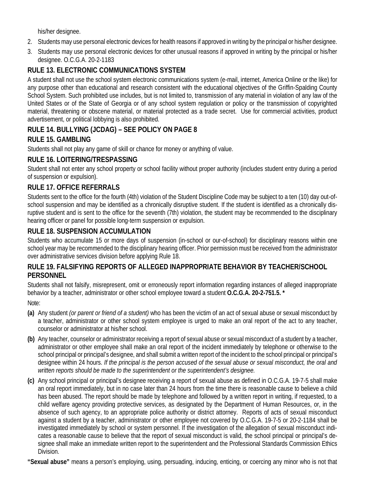his/her designee.

- 2. Students may use personal electronic devices for health reasons if approved in writing by the principal or his/her designee.
- 3. Students may use personal electronic devices for other unusual reasons if approved in writing by the principal or his/her designee. O.C.G.A. 20-2-1183

## **RULE 13. ELECTRONIC COMMUNICATIONS SYSTEM**

A student shall not use the school system electronic communications system (e-mail, internet, America Online or the like) for any purpose other than educational and research consistent with the educational objectives of the Griffin-Spalding County School System. Such prohibited use includes, but is not limited to, transmission of any material in violation of any law of the United States or of the State of Georgia or of any school system regulation or policy or the transmission of copyrighted material, threatening or obscene material, or material protected as a trade secret. Use for commercial activities, product advertisement, or political lobbying is also prohibited.

## **RULE 14. BULLYING (JCDAG) – SEE POLICY ON PAGE 8**

## **RULE 15. GAMBLING**

Students shall not play any game of skill or chance for money or anything of value.

## **RULE 16. LOITERING/TRESPASSING**

Student shall not enter any school property or school facility without proper authority (includes student entry during a period of suspension or expulsion).

## **RULE 17. OFFICE REFERRALS**

Students sent to the office for the fourth (4th) violation of the Student Discipline Code may be subject to a ten (10) day out-ofschool suspension and may be identified as a chronically disruptive student. If the student is identified as a chronically disruptive student and is sent to the office for the seventh (7th) violation, the student may be recommended to the disciplinary hearing officer or panel for possible long-term suspension or expulsion.

## **RULE 18. SUSPENSION ACCUMULATION**

Students who accumulate 15 or more days of suspension (in-school or our-of-school) for disciplinary reasons within one school year may be recommended to the disciplinary hearing officer. Prior permission must be received from the administrator over administrative services division before applying Rule 18.

#### **RULE 19. FALSIFYING REPORTS OF ALLEGED INAPPROPRIATE BEHAVIOR BY TEACHER/SCHOOL PERSONNEL**

Students shall not falsify, misrepresent, omit or erroneously report information regarding instances of alleged inappropriate behavior by a teacher, administrator or other school employee toward a student **O.C.G.A. 20-2-751.5. \***

Note:

- **(a)** Any student *(or parent or friend of a student)* who has been the victim of an act of sexual abuse or sexual misconduct by a teacher, administrator or other school system employee is urged to make an oral report of the act to any teacher, counselor or administrator at his/her school.
- **(b)** Any teacher, counselor or administrator receiving a report of sexual abuse or sexual misconduct of a student by a teacher, administrator or other employee shall make an oral report of the incident immediately by telephone or otherwise to the school principal or principal's designee, and shall submit a written report of the incident to the school principal or principal's designee within 24 hours. *If the principal is the person accused of the sexual abuse or sexual misconduct, the oral and written reports should be made to the superintendent or the superintendent's designee.*
- **(c)** Any school principal or principal's designee receiving a report of sexual abuse as defined in O.C.G.A. 19-7-5 shall make an oral report immediately, but in no case later than 24 hours from the time there is reasonable cause to believe a child has been abused. The report should be made by telephone and followed by a written report in writing, if requested, to a child welfare agency providing protective services, as designated by the Department of Human Resources, or, in the absence of such agency, to an appropriate police authority or district attorney. Reports of acts of sexual misconduct against a student by a teacher, administrator or other employee not covered by O.C.G.A. 19-7-5 or 20-2-1184 shall be investigated immediately by school or system personnel. If the investigation of the allegation of sexual misconduct indicates a reasonable cause to believe that the report of sexual misconduct is valid, the school principal or principal's designee shall make an immediate written report to the superintendent and the Professional Standards Commission Ethics Division.

**"Sexual abuse"** means a person's employing, using, persuading, inducing, enticing, or coercing any minor who is not that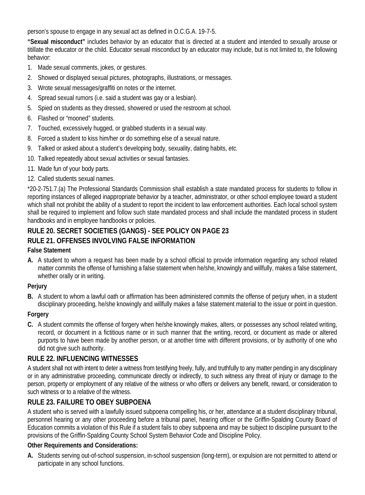person's spouse to engage in any sexual act as defined in O.C.G.A. 19-7-5.

**"Sexual misconduct"** includes behavior by an educator that is directed at a student and intended to sexually arouse or titillate the educator or the child. Educator sexual misconduct by an educator may include, but is not limited to, the following behavior:

- 1. Made sexual comments, jokes, or gestures.
- 2. Showed or displayed sexual pictures, photographs, illustrations, or messages.
- 3. Wrote sexual messages/graffiti on notes or the internet.
- 4. Spread sexual rumors (i.e. said a student was gay or a lesbian).
- 5. Spied on students as they dressed, showered or used the restroom at school.
- 6. Flashed or "mooned" students.
- 7. Touched, excessively hugged, or grabbed students in a sexual way.
- 8. Forced a student to kiss him/her or do something else of a sexual nature.
- 9. Talked or asked about a student's developing body, sexuality, dating habits, *etc.*
- 10. Talked repeatedly about sexual activities or sexual fantasies.
- 11. Made fun of your body parts.
- 12. Called students sexual names.

\*20-2-751.7.(a) The Professional Standards Commission shall establish a state mandated process for students to follow in reporting instances of alleged inappropriate behavior by a teacher, administrator, or other school employee toward a student which shall not prohibit the ability of a student to report the incident to law enforcement authorities. Each local school system shall be required to implement and follow such state mandated process and shall include the mandated process in student handbooks and in employee handbooks or policies.

## **RULE 20. SECRET SOCIETIES (GANGS) - SEE POLICY ON PAGE 23 RULE 21. OFFENSES INVOLVING FALSE INFORMATION**

#### **False Statement**

**A.** A student to whom a request has been made by a school official to provide information regarding any school related matter commits the offense of furnishing a false statement when he/she, knowingly and willfully, makes a false statement, whether orally or in writing.

#### **Perjury**

**B.** A student to whom a lawful oath or affirmation has been administered commits the offense of perjury when, in a student disciplinary proceeding, he/she knowingly and willfully makes a false statement material to the issue or point in question.

#### **Forgery**

**C.** A student commits the offense of forgery when he/she knowingly makes, alters, or possesses any school related writing, record, or document in a fictitious name or in such manner that the writing, record, or document as made or altered purports to have been made by another person, or at another time with different provisions, or by authority of one who did not give such authority.

#### **RULE 22. INFLUENCING WITNESSES**

A student shall not with intent to deter a witness from testifying freely, fully, and truthfully to any matter pending in any disciplinary or in any administrative proceeding, communicate directly or indirectly, to such witness any threat of injury or damage to the person, property or employment of any relative of the witness or who offers or delivers any benefit, reward, or consideration to such witness or to a relative of the witness.

#### **RULE 23. FAILURE TO OBEY SUBPOENA**

A student who is served with a lawfully issued subpoena compelling his, or her, attendance at a student disciplinary tribunal, personnel hearing or any other proceeding before a tribunal panel, hearing officer or the Griffin-Spalding County Board of Education commits a violation of this Rule if a student fails to obey subpoena and may be subject to discipline pursuant to the provisions of the Griffin-Spalding County School System Behavior Code and Discipline Policy.

#### **Other Requirements and Considerations:**

**A.** Students serving out-of-school suspension, in-school suspension (long-term), or expulsion are not permitted to attend or participate in any school functions.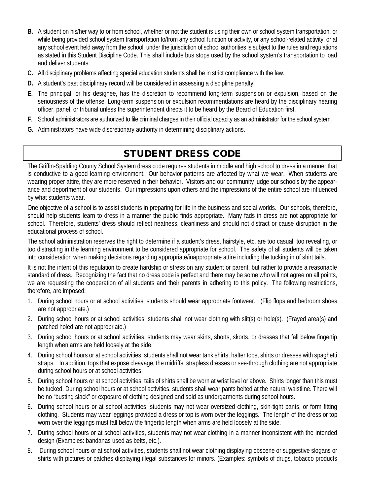- **B.** A student on his/her way to or from school, whether or not the student is using their own or school system transportation, or while being provided school system transportation to/from any school function or activity, or any school-related activity, or at any school event held away from the school, under the jurisdiction of school authorities is subject to the rules and regulations as stated in this Student Discipline Code. This shall include bus stops used by the school system's transportation to load and deliver students.
- **C.** All disciplinary problems affecting special education students shall be in strict compliance with the law.
- **D.** A student's past disciplinary record will be considered in assessing a discipline penalty.
- **E.** The principal, or his designee, has the discretion to recommend long-term suspension or expulsion, based on the seriousness of the offense. Long-term suspension or expulsion recommendations are heard by the disciplinary hearing officer, panel, or tribunal unless the superintendent directs it to be heard by the Board of Education first.
- **F**. School administrators are authorized to file criminal charges in their official capacity as an administrator for the school system.
- **G.** Administrators have wide discretionary authority in determining disciplinary actions.

# STUDENT DRESS CODE

The Griffin-Spalding County School System dress code requires students in middle and high school to dress in a manner that is conductive to a good learning environment. Our behavior patterns are affected by what we wear. When students are wearing proper attire, they are more reserved in their behavior. Visitors and our community judge our schools by the appearance and deportment of our students. Our impressions upon others and the impressions of the entire school are influenced by what students wear.

One objective of a school is to assist students in preparing for life in the business and social worlds. Our schools, therefore, should help students learn to dress in a manner the public finds appropriate. Many fads in dress are not appropriate for school. Therefore, students' dress should reflect neatness, cleanliness and should not distract or cause disruption in the educational process of school.

The school administration reserves the right to determine if a student's dress, hairstyle, etc. are too casual, too revealing, or too distracting in the learning environment to be considered appropriate for school. The safety of all students will be taken into consideration when making decisions regarding appropriate/inappropriate attire including the tucking in of shirt tails.

It is not the intent of this regulation to create hardship or stress on any student or parent, but rather to provide a reasonable standard of dress. Recognizing the fact that no dress code is perfect and there may be some who will not agree on all points, we are requesting the cooperation of all students and their parents in adhering to this policy. The following restrictions, therefore, are imposed:

- 1. During school hours or at school activities, students should wear appropriate footwear. (Flip flops and bedroom shoes are not appropriate.)
- 2. During school hours or at school activities, students shall not wear clothing with slit(s) or hole(s). (Frayed area(s) and patched holed are not appropriate.)
- 3. During school hours or at school activities, students may wear skirts, shorts, skorts, or dresses that fall below fingertip length when arms are held loosely at the side.
- 4. During school hours or at school activities, students shall not wear tank shirts, halter tops, shirts or dresses with spaghetti straps. In addition, tops that expose cleavage, the midriffs, strapless dresses or see-through clothing are not appropriate during school hours or at school activities.
- 5. During school hours or at school activities, tails of shirts shall be worn at wrist level or above. Shirts longer than this must be tucked. During school hours or at school activities, students shall wear pants belted at the natural waistline. There will be no "busting slack" or exposure of clothing designed and sold as undergarments during school hours.
- 6. During school hours or at school activities, students may not wear oversized clothing, skin-tight pants, or form fitting clothing. Students may wear leggings provided a dress or top is worn over the leggings. The length of the dress or top worn over the leggings must fall below the fingertip length when arms are held loosely at the side.
- 7. During school hours or at school activities, students may not wear clothing in a manner inconsistent with the intended design (Examples: bandanas used as belts, etc.).
- 8. During school hours or at school activities, students shall not wear clothing displaying obscene or suggestive slogans or shirts with pictures or patches displaying illegal substances for minors. (Examples: symbols of drugs, tobacco products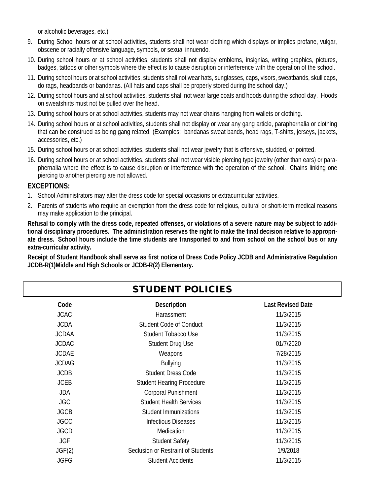or alcoholic beverages, etc.)

- 9. During School hours or at school activities, students shall not wear clothing which displays or implies profane, vulgar, obscene or racially offensive language, symbols, or sexual innuendo.
- 10. During school hours or at school activities, students shall not display emblems, insignias, writing graphics, pictures, badges, tattoos or other symbols where the effect is to cause disruption or interference with the operation of the school.
- 11. During school hours or at school activities, students shall not wear hats, sunglasses, caps, visors, sweatbands, skull caps, do rags, headbands or bandanas. (All hats and caps shall be properly stored during the school day.)
- 12. During school hours and at school activities, students shall not wear large coats and hoods during the school day. Hoods on sweatshirts must not be pulled over the head.
- 13. During school hours or at school activities, students may not wear chains hanging from wallets or clothing.
- 14. During school hours or at school activities, students shall not display or wear any gang article, paraphernalia or clothing that can be construed as being gang related. (Examples: bandanas sweat bands, head rags, T-shirts, jerseys, jackets, accessories, etc.)
- 15. During school hours or at school activities, students shall not wear jewelry that is offensive, studded, or pointed.
- 16. During school hours or at school activities, students shall not wear visible piercing type jewelry (other than ears) or paraphernalia where the effect is to cause disruption or interference with the operation of the school. Chains linking one piercing to another piercing are not allowed.

#### **EXCEPTIONS:**

- 1. School Administrators may alter the dress code for special occasions or extracurricular activities.
- 2. Parents of students who require an exemption from the dress code for religious, cultural or short-term medical reasons may make application to the principal.

**Refusal to comply with the dress code, repeated offenses, or violations of a severe nature may be subject to additional disciplinary procedures. The administration reserves the right to make the final decision relative to appropriate dress. School hours include the time students are transported to and from school on the school bus or any extra-curricular activity.**

**Receipt of Student Handbook shall serve as first notice of Dress Code Policy JCDB and Administrative Regulation JCDB-R(1)Middle and High Schools or JCDB-R(2) Elementary.**

|              | <b>STUDENT POLICIES</b>            |                          |
|--------------|------------------------------------|--------------------------|
| Code         | Description                        | <b>Last Revised Date</b> |
| <b>JCAC</b>  | Harassment                         | 11/3/2015                |
| <b>JCDA</b>  | Student Code of Conduct            | 11/3/2015                |
| <b>JCDAA</b> | Student Tobacco Use                | 11/3/2015                |
| <b>JCDAC</b> | Student Drug Use                   | 01/7/2020                |
| <b>JCDAE</b> | Weapons                            | 7/28/2015                |
| <b>JCDAG</b> | <b>Bullying</b>                    | 11/3/2015                |
| <b>JCDB</b>  | Student Dress Code                 | 11/3/2015                |
| <b>JCEB</b>  | <b>Student Hearing Procedure</b>   | 11/3/2015                |
| JDA          | <b>Corporal Punishment</b>         | 11/3/2015                |
| <b>JGC</b>   | <b>Student Health Services</b>     | 11/3/2015                |
| <b>JGCB</b>  | Student Immunizations              | 11/3/2015                |
| <b>JGCC</b>  | <b>Infectious Diseases</b>         | 11/3/2015                |
| <b>JGCD</b>  | Medication                         | 11/3/2015                |
| <b>JGF</b>   | <b>Student Safety</b>              | 11/3/2015                |
| JGF(2)       | Seclusion or Restraint of Students | 1/9/2018                 |
| <b>JGFG</b>  | <b>Student Accidents</b>           | 11/3/2015                |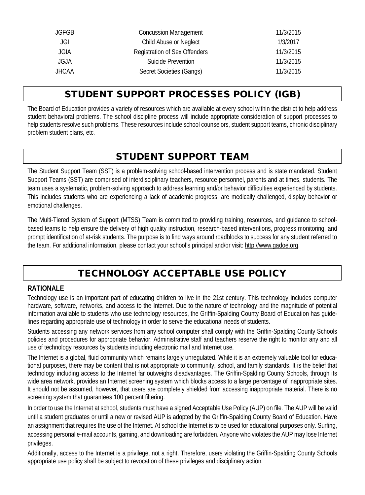| JGFGB | <b>Concussion Management</b>  | 11/3/2015 |
|-------|-------------------------------|-----------|
| JGI.  | Child Abuse or Neglect        | 1/3/2017  |
| JGIA  | Registration of Sex Offenders | 11/3/2015 |
| JGJA  | Suicide Prevention            | 11/3/2015 |
| JHCAA | Secret Societies (Gangs)      | 11/3/2015 |
|       |                               |           |

# STUDENT SUPPORT PROCESSES POLICY (IGB)

The Board of Education provides a variety of resources which are available at every school within the district to help address student behavioral problems. The school discipline process will include appropriate consideration of support processes to help students resolve such problems. These resources include school counselors, student support teams, chronic disciplinary problem student plans*,* etc*.*

# STUDENT SUPPORT TEAM

The Student Support Team (SST) is a problem-solving school-based intervention process and is state mandated. Student Support Teams (SST) are comprised of interdisciplinary teachers, resource personnel, parents and at times, students. The team uses a systematic, problem-solving approach to address learning and/or behavior difficulties experienced by students. This includes students who are experiencing a lack of academic progress, are medically challenged, display behavior or emotional challenges.

The Multi-Tiered System of Support (MTSS) Team is committed to providing training, resources, and guidance to schoolbased teams to help ensure the delivery of high quality instruction, research-based interventions, progress monitoring, and prompt identification of at-risk students. The purpose is to find ways around roadblocks to success for any student referred to the team. For additional information, please contact your school's principal and/or visit: http://www.gadoe.org.

# TECHNOLOGY ACCEPTABLE USE POLICY

## **RATIONALE**

Technology use is an important part of educating children to live in the 21st century. This technology includes computer hardware, software, networks, and access to the Internet. Due to the nature of technology and the magnitude of potential information available to students who use technology resources, the Griffin-Spalding County Board of Education has guidelines regarding appropriate use of technology in order to serve the educational needs of students.

Students accessing any network services from any school computer shall comply with the Griffin-Spalding County Schools policies and procedures for appropriate behavior. Administrative staff and teachers reserve the right to monitor any and all use of technology resources by students including electronic mail and Internet use.

The Internet is a global, fluid community which remains largely unregulated. While it is an extremely valuable tool for educational purposes, there may be content that is not appropriate to community, school, and family standards. It is the belief that technology including access to the Internet far outweighs disadvantages. The Griffin-Spalding County Schools, through its wide area network, provides an Internet screening system which blocks access to a large percentage of inappropriate sites. It should not be assumed, however, that users are completely shielded from accessing inappropriate material. There is no screening system that guarantees 100 percent filtering.

In order to use the Internet at school, students must have a signed Acceptable Use Policy (AUP) on file. The AUP will be valid until a student graduates or until a new or revised AUP is adopted by the Griffin-Spalding County Board of Education. Have an assignment that requires the use of the Internet. At school the Internet is to be used for educational purposes only. Surfing, accessing personal e-mail accounts, gaming, and downloading are forbidden. Anyone who violates the AUP may lose Internet privileges.

Additionally, access to the Internet is a privilege, not a right. Therefore, users violating the Griffin-Spalding County Schools appropriate use policy shall be subject to revocation of these privileges and disciplinary action.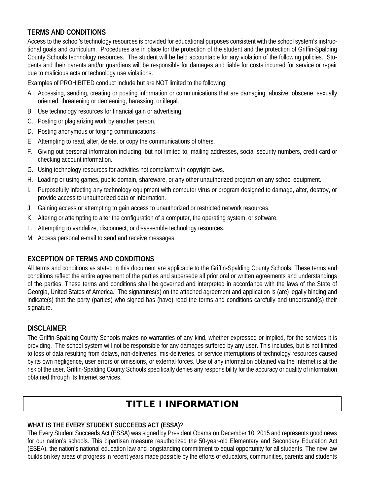## **TERMS AND CONDITIONS**

Access to the school's technology resources is provided for educational purposes consistent with the school system's instructional goals and curriculum. Procedures are in place for the protection of the student and the protection of Griffin-Spalding County Schools technology resources. The student will be held accountable for any violation of the following policies. Students and their parents and/or guardians will be responsible for damages and liable for costs incurred for service or repair due to malicious acts or technology use violations.

Examples of PROHIBITED conduct include but are NOT limited to the following:

- A. Accessing, sending, creating or posting information or communications that are damaging, abusive, obscene, sexually oriented, threatening or demeaning, harassing, or illegal.
- B. Use technology resources for financial gain or advertising.
- C. Posting or plagiarizing work by another person.
- D. Posting anonymous or forging communications.
- E. Attempting to read, alter, delete, or copy the communications of others.
- F. Giving out personal information including, but not limited to, mailing addresses, social security numbers, credit card or checking account information.
- G. Using technology resources for activities not compliant with copyright laws.
- H. Loading or using games, public domain, shareware, or any other unauthorized program on any school equipment.
- I. Purposefully infecting any technology equipment with computer virus or program designed to damage, alter, destroy, or provide access to unauthorized data or information.
- J. Gaining access or attempting to gain access to unauthorized or restricted network resources.
- K. Altering or attempting to alter the configuration of a computer, the operating system, or software.
- L. Attempting to vandalize, disconnect, or disassemble technology resources.
- M. Access personal e-mail to send and receive messages.

## **EXCEPTION OF TERMS AND CONDITIONS**

All terms and conditions as stated in this document are applicable to the Griffin-Spalding County Schools. These terms and conditions reflect the entire agreement of the parties and supersede all prior oral or written agreements and understandings of the parties. These terms and conditions shall be governed and interpreted in accordance with the laws of the State of Georgia, United States of America. The signatures(s) on the attached agreement and application is (are) legally binding and indicate(s) that the party (parties) who signed has (have) read the terms and conditions carefully and understand(s) their signature.

## **DISCLAIMER**

The Griffin-Spalding County Schools makes no warranties of any kind, whether expressed or implied, for the services it is providing. The school system will not be responsible for any damages suffered by any user. This includes, but is not limited to loss of data resulting from delays, non-deliveries, mis-deliveries, or service interruptions of technology resources caused by its own negligence, user errors or omissions, or external forces. Use of any information obtained via the Internet is at the risk of the user. Griffin-Spalding County Schools specifically denies any responsibility for the accuracy or quality of information obtained through its Internet services.

# TITLE I INFORMATION

#### **WHAT IS THE EVERY STUDENT SUCCEEDS ACT (ESSA)**?

The Every Student Succeeds Act (ESSA) was signed by President Obama on December 10, 2015 and represents good news for our nation's schools. This bipartisan measure reauthorized the 50-year-old Elementary and Secondary Education Act (ESEA), the nation's national education law and longstanding commitment to equal opportunity for all students. The new law builds on key areas of progress in recent years made possible by the efforts of educators, communities, parents and students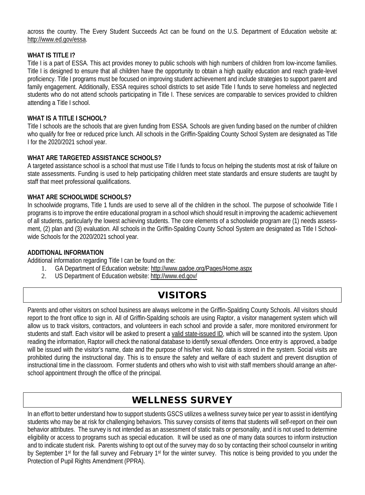across the country. The Every Student Succeeds Act can be found on the U.S. Department of Education website at: http://www.ed.gov/essa.

#### **WHAT IS TITLE 12**

Title I is a part of ESSA. This act provides money to public schools with high numbers of children from low-income families. Title I is designed to ensure that all children have the opportunity to obtain a high quality education and reach grade-level proficiency. Title I programs must be focused on improving student achievement and include strategies to support parent and family engagement. Additionally, ESSA requires school districts to set aside Title I funds to serve homeless and neglected students who do not attend schools participating in Title I. These services are comparable to services provided to children attending a Title I school.

#### **WHAT IS A TITLE I SCHOOL?**

Title I schools are the schools that are given funding from ESSA. Schools are given funding based on the number of children who qualify for free or reduced price lunch. All schools in the Griffin-Spalding County School System are designated as Title I for the 2020/2021 school year.

#### **WHAT ARE TARGETED ASSISTANCE SCHOOLS?**

A targeted assistance school is a school that must use Title I funds to focus on helping the students most at risk of failure on state assessments. Funding is used to help participating children meet state standards and ensure students are taught by staff that meet professional qualifications.

#### **WHAT ARE SCHOOLWIDE SCHOOLS?**

In schoolwide programs, Title 1 funds are used to serve all of the children in the school. The purpose of schoolwide Title I programs is to improve the entire educational program in a school which should result in improving the academic achievement of all students, particularly the lowest achieving students. The core elements of a schoolwide program are (1) needs assessment, (2) plan and (3) evaluation. All schools in the Griffin-Spalding County School System are designated as Title I Schoolwide Schools for the 2020/2021 school year.

#### **ADDITIONAL INFORMATION**

Additional information regarding Title I can be found on the:

- 1. GA Department of Education website: http://www.gadoe.org/Pages/Home.aspx
- 2. US Department of Education website: http://www.ed.gov/

## VISITORS

Parents and other visitors on school business are always welcome in the Griffin-Spalding County Schools. All visitors should report to the front office to sign in. All of Griffin-Spalding schools are using Raptor, a visitor management system which will allow us to track visitors, contractors, and volunteers in each school and provide a safer, more monitored environment for students and staff. Each visitor will be asked to present a valid state-issued ID, which will be scanned into the system. Upon reading the information, Raptor will check the national database to identify sexual offenders. Once entry is approved, a badge will be issued with the visitor's name, date and the purpose of his/her visit. No data is stored in the system. Social visits are prohibited during the instructional day. This is to ensure the safety and welfare of each student and prevent disruption of instructional time in the classroom. Former students and others who wish to visit with staff members should arrange an afterschool appointment through the office of the principal.

# WELLNESS SURVEY

In an effort to better understand how to support students GSCS utilizes a wellness survey twice per year to assist in identifying students who may be at risk for challenging behaviors. This survey consists of items that students will self-report on their own behavior attributes. The survey is not intended as an assessment of static traits or personality, and it is not used to determine eligibility or access to programs such as special education. It will be used as one of many data sources to inform instruction and to indicate student risk. Parents wishing to opt out of the survey may do so by contacting their school counselor in writing by September 1st for the fall survey and February 1st for the winter survey. This notice is being provided to you under the Protection of Pupil Rights Amendment (PPRA).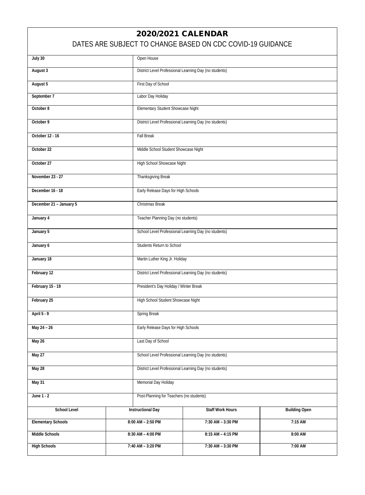## 2020/2021 CALENDAR

## DATES ARE SUBJECT TO CHANGE BASED ON CDC COVID-19 GUIDANCE

| July 30                   |                                      | Open House                                             |                      |  |
|---------------------------|--------------------------------------|--------------------------------------------------------|----------------------|--|
| August 3                  |                                      | District Level Professional Learning Day (no students) |                      |  |
| August 5                  | First Day of School                  |                                                        |                      |  |
| September 7               | Labor Day Holiday                    |                                                        |                      |  |
| October 8                 | Elementary Student Showcase Night    |                                                        |                      |  |
| October 9                 |                                      | District Level Professional Learning Day (no students) |                      |  |
| October 12 - 16           | <b>Fall Break</b>                    |                                                        |                      |  |
| October 22                | Middle School Student Showcase Night |                                                        |                      |  |
| October 27                | High School Showcase Night           |                                                        |                      |  |
| November 23 - 27          | Thanksgiving Break                   |                                                        |                      |  |
| December 16 - 18          | Early Release Days for High Schools  |                                                        |                      |  |
| December 21 - January 5   | Christmas Break                      |                                                        |                      |  |
| January 4                 |                                      | Teacher Planning Day (no students)                     |                      |  |
| January 5                 |                                      | School Level Professional Learning Day (no students)   |                      |  |
| January 6                 | Students Return to School            |                                                        |                      |  |
| January 18                |                                      | Martin Luther King Jr. Holiday                         |                      |  |
| February 12               |                                      | District Level Professional Learning Day (no students) |                      |  |
| February 15 - 19          |                                      | President's Day Holiday / Winter Break                 |                      |  |
| February 25               |                                      | High School Student Showcase Night                     |                      |  |
| April 5 - 9               | Spring Break                         |                                                        |                      |  |
| May 24 - 26               |                                      | Early Release Days for High Schools                    |                      |  |
|                           |                                      |                                                        |                      |  |
| May 26                    |                                      | Last Day of School                                     |                      |  |
| May 27                    |                                      | School Level Professional Learning Day (no students)   |                      |  |
| May 28                    |                                      | District Level Professional Learning Day (no students) |                      |  |
| May 31                    | Memorial Day Holiday                 |                                                        |                      |  |
| June 1 - 2                |                                      | Post-Planning for Teachers (no students)               |                      |  |
| School Level              | <b>Instructional Day</b>             | <b>Staff Work Hours</b>                                | <b>Building Open</b> |  |
| <b>Elementary Schools</b> | 8:00 AM - 2:50 PM                    | 7:30 AM - 3:30 PM                                      | 7:15 AM              |  |
| Middle Schools            | 8:30 AM - 4:00 PM                    | 8:15 AM - 4:15 PM                                      | 8:00 AM              |  |
| <b>High Schools</b>       | 7:40 AM - 3:20 PM                    | 7:30 AM - 3:30 PM                                      | 7:00 AM              |  |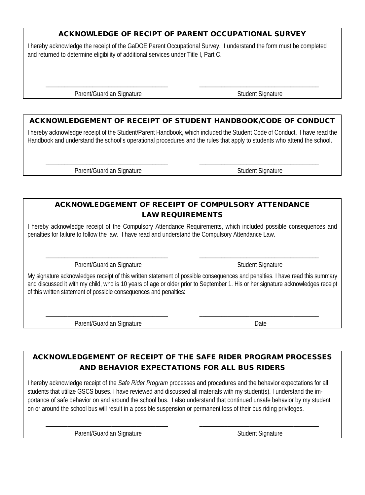### ACKNOWLEDGE OF RECIPT OF PARENT OCCUPATIONAL SURVEY

I hereby acknowledge the receipt of the GaDOE Parent Occupational Survey. I understand the form must be completed and returned to determine eligibility of additional services under Title I, Part C.

Parent/Guardian Signature Student Signature Student Signature

### ACKNOWLEDGEMENT OF RECEIPT OF STUDENT HANDBOOK/CODE OF CONDUCT

\_\_\_\_\_\_\_\_\_\_\_\_\_\_\_\_\_\_\_\_\_\_\_\_\_\_\_\_\_\_\_\_\_\_\_\_\_\_\_ \_\_\_\_\_\_\_\_\_\_\_\_\_\_\_\_\_\_\_\_\_\_\_\_\_\_\_\_\_\_\_\_\_\_\_\_\_\_

I hereby acknowledge receipt of the Student/Parent Handbook, which included the Student Code of Conduct. I have read the Handbook and understand the school's operational procedures and the rules that apply to students who attend the school.

\_\_\_\_\_\_\_\_\_\_\_\_\_\_\_\_\_\_\_\_\_\_\_\_\_\_\_\_\_\_\_\_\_\_\_\_\_\_\_ \_\_\_\_\_\_\_\_\_\_\_\_\_\_\_\_\_\_\_\_\_\_\_\_\_\_\_\_\_\_\_\_\_\_\_\_\_\_

Parent/Guardian Signature Student Signature Student Signature

## ACKNOWLEDGEMENT OF RECEIPT OF COMPULSORY ATTENDANCE LAW REQUIREMENTS

I hereby acknowledge receipt of the Compulsory Attendance Requirements, which included possible consequences and penalties for failure to follow the law. I have read and understand the Compulsory Attendance Law.

\_\_\_\_\_\_\_\_\_\_\_\_\_\_\_\_\_\_\_\_\_\_\_\_\_\_\_\_\_\_\_\_\_\_\_\_\_\_\_ \_\_\_\_\_\_\_\_\_\_\_\_\_\_\_\_\_\_\_\_\_\_\_\_\_\_\_\_\_\_\_\_\_\_\_\_\_\_

Parent/Guardian Signature Student Signature Student Signature

My signature acknowledges receipt of this written statement of possible consequences and penalties. I have read this summary and discussed it with my child, who is 10 years of age or older prior to September 1. His or her signature acknowledges receipt of this written statement of possible consequences and penalties:

\_\_\_\_\_\_\_\_\_\_\_\_\_\_\_\_\_\_\_\_\_\_\_\_\_\_\_\_\_\_\_\_\_\_\_\_\_\_\_ \_\_\_\_\_\_\_\_\_\_\_\_\_\_\_\_\_\_\_\_\_\_\_\_\_\_\_\_\_\_\_\_\_\_\_\_\_\_

Parent/Guardian Signature Date

## ACKNOWLEDGEMENT OF RECEIPT OF THE SAFE RIDER PROGRAM PROCESSES AND BEHAVIOR EXPECTATIONS FOR ALL BUS RIDERS

I hereby acknowledge receipt of the *Safe Rider Program* processes and procedures and the behavior expectations for all students that utilize GSCS buses. I have reviewed and discussed all materials with my student(s). I understand the importance of safe behavior on and around the school bus. I also understand that continued unsafe behavior by my student on or around the school bus will result in a possible suspension or permanent loss of their bus riding privileges.

\_\_\_\_\_\_\_\_\_\_\_\_\_\_\_\_\_\_\_\_\_\_\_\_\_\_\_\_\_\_\_\_\_\_\_\_\_\_\_ \_\_\_\_\_\_\_\_\_\_\_\_\_\_\_\_\_\_\_\_\_\_\_\_\_\_\_\_\_\_\_\_\_\_\_\_\_\_

Parent/Guardian Signature Student Signature Student Signature